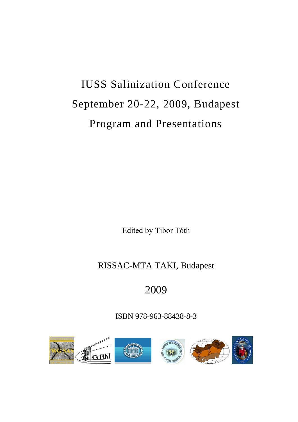# IUSS Salinization Conference September 20-22, 2009, Budapest Program and Presentations

Edited by Tibor Tóth

## RISSAC-MTA TAKI, Budapest

## 2009

ISBN 978-963-88438-8-3

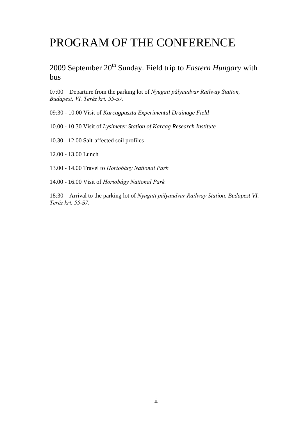## PROGRAM OF THE CONFERENCE

2009 September 20<sup>th</sup> Sunday. Field trip to *Eastern Hungary* with bus

07:00 Departure from the parking lot of *Nyugati pályaudvar Railway Station, Budapest, VI. Teréz krt. 55-57.*

09:30 - 10.00 Visit of *Karcagpuszta Experimental Drainage Field*

10.00 - 10.30 Visit of *Lysimeter Station of Karcag Research Institute*

10.30 - 12.00 Salt-affected soil profiles

12.00 - 13.00 Lunch

13.00 - 14.00 Travel to *Hortobágy National Park*

14.00 - 16.00 Visit of *Hortobágy National Park*

18:30 Arrival to the parking lot of *Nyugati pályaudvar Railway Station, Budapest VI. Teréz krt. 55-57.*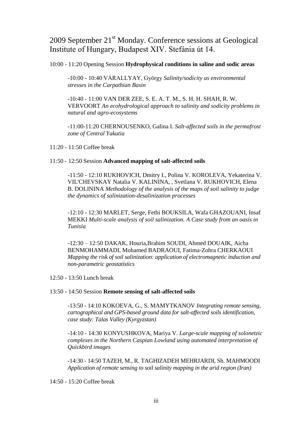## 2009 September 21<sup>st</sup> Monday. Conference sessions at Geological Institute of Hungary, Budapest XIV. Stefánia út 14.

#### 10:00 - 11:20 Opening Session **Hydrophysical conditions in saline and sodic areas**

-10:00 - 10:40 VÁRALLYAY, György *Salinity/sodicity as environmental stresses in the Carpathian Basin*

-10:40 - 11:00 VAN DER ZEE, S. E. A. T. M., S. H. H. SHAH, R. W. VERVOORT *An ecohydrological approach to salinity and sodicity problems in natural and agro-ecosystems*

-11:00-11:20 CHERNOUSENKO, Galina I. *Salt-affected soils in the permafrost zone of Central Yakutia*

11:20 - 11:50 Coffee break

#### 11:50 - 12:50 Session **Advanced mapping of salt-affected soils**

-11:50 - 12:10 RUKHOVICH, Dmitry I., Polina V. KOROLEVA, Yekaterina V. VIL'CHEVSKAY Natalia V. KALININA, , Svetlana V. RUKHOVICH, Elena B. DOLININA *Methodology of the analysis of the maps of soil salinity to judge the dynamics of salinization-desalinization processes*

-12:10 - 12:30 MARLET, Serge, Fethi BOUKSILA, Wafa GHAZOUANI, Insaf MEKKI *Multi-scale analysis of soil salinization. A Case study from an oasis in Tunisia*

-12:30 – 12:50 DAKAK, Houria,Brahim SOUDI, Ahmed DOUAIK, Aicha BENMOHAMMADI, Mohamed BADRAOUI, Fatima-Zohra CHERKAOUI *Mapping the risk of soil salinization: application of electromagnetic induction and non-parametric geostatistics*

12:50 - 13:50 Lunch break

#### 13:50 - 14:50 Session **Remote sensing of salt-affected soils**

-13:50 - 14:10 KOKOEVA, G., S. MAMYTKANOV *Integrating remote sensing, cartographical and GPS-based ground data for salt-affected soils identification, case study: Talas Valley (Kyrgyzstan)*

-14:10 - 14:30 KONYUSHKOVA, Mariya V. *Large-scale mapping of solonetzic complexes in the Northern Caspian Lowland using automated interpretation of Quickbird images*

-14:30 - 14:50 TAZEH, M., R. TAGHIZADEH MEHRJARDI, Sh. MAHMOODI *Application of remote sensing to soil salinity mapping in the arid region (Iran)*

14:50 - 15:20 Coffee break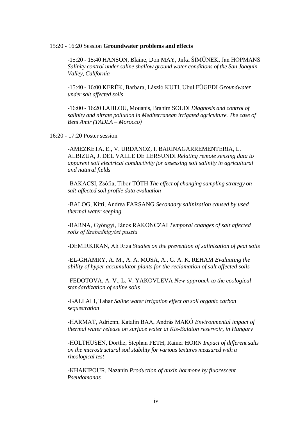#### 15:20 - 16:20 Session **Groundwater problems and effects**

-15:20 - 15:40 HANSON, Blaine, Don MAY, Jirka ŠIMŮNEK, Jan HOPMANS *Salinity control under saline shallow ground water conditions of the San Joaquin Valley, California*

-15:40 - 16:00 KERÉK, Barbara, László KUTI, Ubul FÜGEDI *Groundwater under salt affected soils*

-16:00 - 16:20 LAHLOU, Mouanis, Brahim SOUDI *Diagnosis and control of salinity and nitrate pollution in Mediterranean irrigated agriculture. The case of Beni Amir (TADLA – Morocco)*

16:20 - 17:20 Poster session

-AMEZKETA, E., V. URDANOZ, I. BARINAGARREMENTERIA, L. ALBIZUA, J. DEL VALLE DE LERSUNDI *Relating remote sensing data to apparent soil electrical conductivity for assessing soil salinity in agricultural and natural fields*

-BAKACSI, Zsófia, Tibor TÓTH *The effect of changing sampling strategy on salt-affected soil profile data evaluation*

-BALOG, Kitti, Andrea FARSANG *Secondary salinization caused by used thermal water seeping*

-BARNA, Gyöngyi, János RAKONCZAI *Temporal changes of salt affected soils of Szabadkígyósi puszta*

-DEMIRKIRAN, Ali Rıza *Studies on the prevention of salinization of peat soils*

-EL-GHAMRY, A. M., A. A. MOSA, A., G. A. K. REHAM *Evaluating the ability of hyper accumulator plants for the reclamation of salt affected soils*

-FEDOTOVA, A. V., L. V. YAKOVLEVA *New approach to the ecological standardization of saline soils*

-GALLALI, Tahar *Saline water irrigation effect on soil organic carbon sequestration*

-HARMAT, Adrienn, Katalin BAA, András MAKÓ *Environmental impact of thermal water release on surface water at Kis-Balaton reservoir, in Hungary*

-HOLTHUSEN, Dörthe, Stephan PETH, Rainer HORN *Impact of different salts on the microstructural soil stability for various textures measured with a rheological test*

-KHAKIPOUR, Nazanin *Production of auxin hormone by fluorescent Pseudomonas*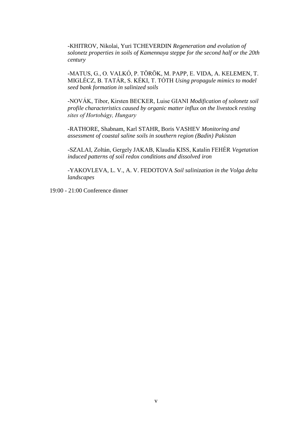-KHITROV, Nikolai, Yuri TCHEVERDIN *Regeneration and evolution of solonetz properties in soils of Kamennaya steppe for the second half or the 20th century*

-MATUS, G., O. VALKÓ, P. TÖRÖK, M. PAPP, E. VIDA, A. KELEMEN, T. MIGLÉCZ, B. TATÁR, S. KÉKI, T. TÓTH *Using propagule mimics to model seed bank formation in salinized soils*

-NOVÁK, Tibor, Kirsten BECKER, Luise GIANI *Modification of solonetz soil profile characteristics caused by organic matter influx on the livestock resting sites of Hortobágy, Hungary*

-RATHORE, Shabnam, Karl STAHR, Boris VASHEV *Monitoring and assessment of coastal saline soils in southern region (Badin) Pakistan*

-SZALAI, Zoltán, Gergely JAKAB, Klaudia KISS, Katalin FEHÉR *Vegetation induced patterns of soil redox conditions and dissolved iron*

-YAKOVLEVA, L. V., A. V. FEDOTOVA *Soil salinization in the Volga delta landscapes*

19:00 - 21:00 Conference dinner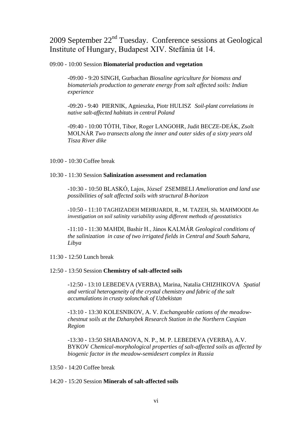## 2009 September 22<sup>nd</sup> Tuesday. Conference sessions at Geological Institute of Hungary, Budapest XIV. Stefánia út 14.

#### 09:00 - 10:00 Session **Biomaterial production and vegetation**

-09:00 - 9:20 SINGH, Gurbachan *Biosaline agriculture for biomass and biomaterials production to generate energy from salt affected soils: Indian experience*

-09:20 - 9:40 PIERNIK, Agnieszka, Piotr HULISZ *Soil-plant correlations in native salt-affected habitats in central Poland*

-09:40 - 10:00 TÓTH, Tibor, Roger LANGOHR, Judit BECZE-DEÁK, Zsolt MOLNÁR *Two transects along the inner and outer sides of a sixty years old Tisza River dike*

10:00 - 10:30 Coffee break

#### 10:30 - 11:30 Session **Salinization assessment and reclamation**

-10:30 - 10:50 BLASKÓ, Lajos, József ZSEMBELI *Amelioration and land use possibilities of salt affected soils with structural B-horizon*

-10:50 - 11:10 TAGHIZADEH MEHRJARDI, R., M. TAZEH, Sh. MAHMOODI *An investigation on soil salinity variability using different methods of geostatistics*

-11:10 - 11:30 MAHDI, Bashir H., János KALMÁR *Geological conditions of the salinization in case of two irrigated fields in Central and South Sahara, Libya*

11:30 - 12:50 Lunch break

#### 12:50 - 13:50 Session **Chemistry of salt-affected soils**

-12:50 - 13:10 LEBEDEVA (VERBA), Marina, Natalia CHIZHIKOVA *Spatial and vertical heterogeneity of the crystal chemistry and fabric of the salt accumulations in crusty solonchak of Uzbekistan*

-13:10 - 13:30 KOLESNIKOV, A. V. *Exchangeable cations of the meadowchestnut soils at the Dzhanybek Research Station in the Northern Caspian Region*

-13:30 - 13:50 SHABANOVA, N. P., M. P. LEBEDEVA (VERBA), A.V. BYKOV *Chemical-morphological properties of salt-affected soils as affected by biogenic factor in the meadow-semidesert complex in Russia*

 $13:50 - 14:20$  Coffee break

#### 14:20 - 15:20 Session **Minerals of salt-affected soils**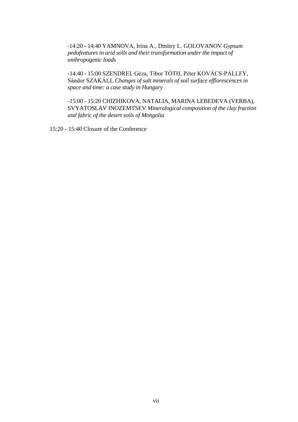-14:20 - 14:40 YAMNOVA, Irina A., Dmitry L. GOLOVANOV *Gypsum pedofeatures in arid soils and their transformation under the impact of anthropogenic loads*

-14:40 - 15:00 SZENDREI, Géza, Tibor TÓTH, Péter KOVÁCS-PÁLLFY, Sándor SZAKÁLL *Changes of salt minerals of soil surface efflorescences in space and time: a case study in Hungary*

-15:00 - 15:20 CHIZHIKOVA, NATALIA, MARINA LEBEDEVA (VERBA), SVYATOSLAV INOZEMTSEV *Mineralogical composition of the clay fraction and fabric of the desert soils of Mongolia*

15:20 - 15:40 Closure of the Conference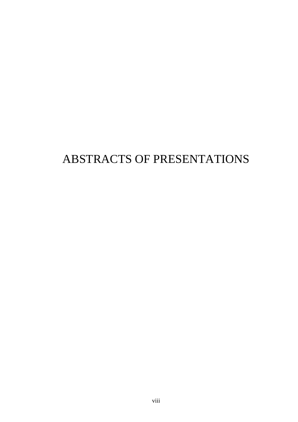## ABSTRACTS OF PRESENTATIONS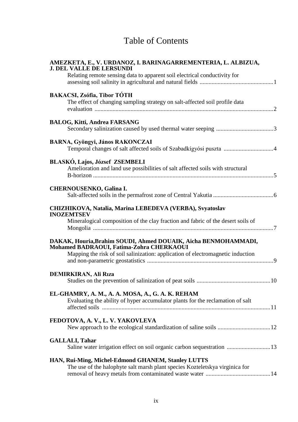## Table of Contents

| AMEZKETA, E., V. URDANOZ, I. BARINAGARREMENTERIA, L. ALBIZUA,<br><b>J. DEL VALLE DE LERSUNDI</b>                                                                                              |
|-----------------------------------------------------------------------------------------------------------------------------------------------------------------------------------------------|
| Relating remote sensing data to apparent soil electrical conductivity for                                                                                                                     |
| <b>BAKACSI, Zsófia, Tibor TÓTH</b><br>The effect of changing sampling strategy on salt-affected soil profile data                                                                             |
| <b>BALOG, Kitti, Andrea FARSANG</b>                                                                                                                                                           |
| BARNA, Gyöngyi, János RAKONCZAI<br>Temporal changes of salt affected soils of Szabadkígyósi puszta 4                                                                                          |
| BLASKÓ, Lajos, József ZSEMBELI<br>Amelioration and land use possibilities of salt affected soils with structural                                                                              |
| <b>CHERNOUSENKO, Galina I.</b>                                                                                                                                                                |
| CHIZHIKOVA, Natalia, Marina LEBEDEVA (VERBA), Svyatoslav<br><b>INOZEMTSEV</b><br>Mineralogical composition of the clay fraction and fabric of the desert soils of                             |
| DAKAK, Houria, Brahim SOUDI, Ahmed DOUAIK, Aicha BENMOHAMMADI,<br>Mohamed BADRAOUI, Fatima-Zohra CHERKAOUI<br>Mapping the risk of soil salinization: application of electromagnetic induction |
| <b>DEMIRKIRAN, Ali Riza</b>                                                                                                                                                                   |
| EL-GHAMRY, A. M., A. A. MOSA, A., G. A. K. REHAM<br>Evaluating the ability of hyper accumulator plants for the reclamation of salt                                                            |
| FEDOTOVA, A. V., L. V. YAKOVLEVA                                                                                                                                                              |
| <b>GALLALI, Tahar</b><br>Saline water irrigation effect on soil organic carbon sequestration  13                                                                                              |
| HAN, Rui-Ming, Michel-Edmond GHANEM, Stanley LUTTS<br>The use of the halophyte salt marsh plant species Kozteletskya virginica for                                                            |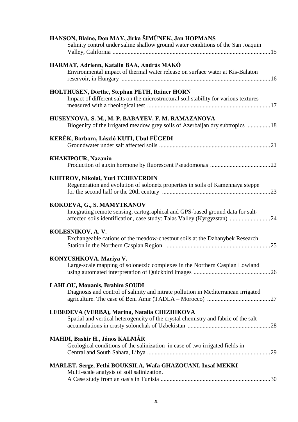| HANSON, Blaine, Don MAY, Jirka ŠIMŮNEK, Jan HOPMANS<br>Salinity control under saline shallow ground water conditions of the San Joaquin                                                 |
|-----------------------------------------------------------------------------------------------------------------------------------------------------------------------------------------|
| HARMAT, Adrienn, Katalin BAA, András MAKÓ<br>Environmental impact of thermal water release on surface water at Kis-Balaton                                                              |
| HOLTHUSEN, Dörthe, Stephan PETH, Rainer HORN<br>Impact of different salts on the microstructural soil stability for various textures                                                    |
| HUSEYNOVA, S. M., M. P. BABAYEV, F. M. RAMAZANOVA<br>Biogenity of the irrigated meadow grey soils of Azerbaijan dry subtropics 18                                                       |
| KERÉK, Barbara, László KUTI, Ubul FÜGEDI                                                                                                                                                |
| <b>KHAKIPOUR, Nazanin</b>                                                                                                                                                               |
| KHITROV, Nikolai, Yuri TCHEVERDIN<br>Regeneration and evolution of solonetz properties in soils of Kamennaya steppe                                                                     |
| KOKOEVA, G., S. MAMYTKANOV<br>Integrating remote sensing, cartographical and GPS-based ground data for salt-<br>affected soils identification, case study: Talas Valley (Kyrgyzstan) 24 |
| KOLESNIKOV, A.V.<br>Exchangeable cations of the meadow-chestnut soils at the Dzhanybek Research                                                                                         |
| KONYUSHKOVA, Mariya V.<br>Large-scale mapping of solonetzic complexes in the Northern Caspian Lowland                                                                                   |
| <b>LAHLOU, Mouanis, Brahim SOUDI</b><br>Diagnosis and control of salinity and nitrate pollution in Mediterranean irrigated                                                              |
| LEBEDEVA (VERBA), Marina, Natalia CHIZHIKOVA<br>Spatial and vertical heterogeneity of the crystal chemistry and fabric of the salt                                                      |
| MAHDI, Bashir H., János KALMÁR<br>Geological conditions of the salinization in case of two irrigated fields in                                                                          |
| MARLET, Serge, Fethi BOUKSILA, Wafa GHAZOUANI, Insaf MEKKI<br>Multi-scale analysis of soil salinization.                                                                                |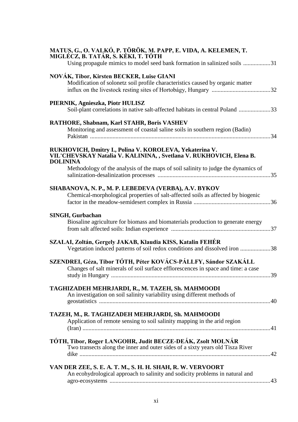| MATUS, G., O. VALKÓ, P. TÖRÖK, M. PAPP, E. VIDA, A. KELEMEN, T.<br>MIGLÉCZ, B. TATÁR, S. KÉKI, T. TÓTH<br>Using propagule mimics to model seed bank formation in salinized soils 31 |
|-------------------------------------------------------------------------------------------------------------------------------------------------------------------------------------|
| NOVÁK, Tibor, Kirsten BECKER, Luise GIANI<br>Modification of solonetz soil profile characteristics caused by organic matter                                                         |
| PIERNIK, Agnieszka, Piotr HULISZ<br>Soil-plant correlations in native salt-affected habitats in central Poland 33                                                                   |
| RATHORE, Shabnam, Karl STAHR, Boris VASHEV<br>Monitoring and assessment of coastal saline soils in southern region (Badin)                                                          |
| RUKHOVICH, Dmitry I., Polina V. KOROLEVA, Yekaterina V.<br>VIL'CHEVSKAY Natalia V. KALININA, , Svetlana V. RUKHOVICH, Elena B.<br><b>DOLININA</b>                                   |
| Methodology of the analysis of the maps of soil salinity to judge the dynamics of                                                                                                   |
| SHABANOVA, N. P., M. P. LEBEDEVA (VERBA), A.V. BYKOV<br>Chemical-morphological properties of salt-affected soils as affected by biogenic                                            |
| <b>SINGH, Gurbachan</b><br>Biosaline agriculture for biomass and biomaterials production to generate energy                                                                         |
| SZALAI, Zoltán, Gergely JAKAB, Klaudia KISS, Katalin FEHÉR<br>Vegetation induced patterns of soil redox conditions and dissolved iron 38                                            |
| SZENDREI, Géza, Tibor TÓTH, Péter KOVÁCS-PÁLLFY, Sándor SZAKÁLL<br>Changes of salt minerals of soil surface efflorescences in space and time: a case                                |
| TAGHIZADEH MEHRJARDI, R., M. TAZEH, Sh. MAHMOODI<br>An investigation on soil salinity variability using different methods of                                                        |
| TAZEH, M., R. TAGHIZADEH MEHRJARDI, Sh. MAHMOODI<br>Application of remote sensing to soil salinity mapping in the arid region                                                       |
| TÓTH, Tibor, Roger LANGOHR, Judit BECZE-DEÁK, Zsolt MOLNÁR<br>Two transects along the inner and outer sides of a sixty years old Tisza River                                        |
| VAN DER ZEE, S. E. A. T. M., S. H. H. SHAH, R. W. VERVOORT<br>An ecohydrological approach to salinity and sodicity problems in natural and                                          |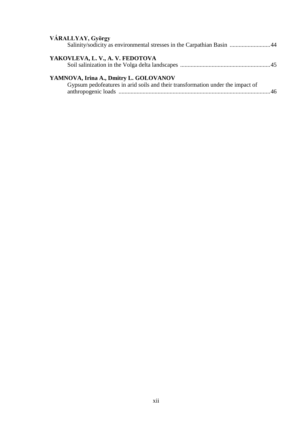| VÁRALLYAY, György<br>Salinity/sodicity as environmental stresses in the Carpathian Basin 44                              |  |
|--------------------------------------------------------------------------------------------------------------------------|--|
| YAKOVLEVA, L. V., A. V. FEDOTOVA                                                                                         |  |
| YAMNOVA, Irina A., Dmitry L. GOLOVANOV<br>Gypsum pedofeatures in arid soils and their transformation under the impact of |  |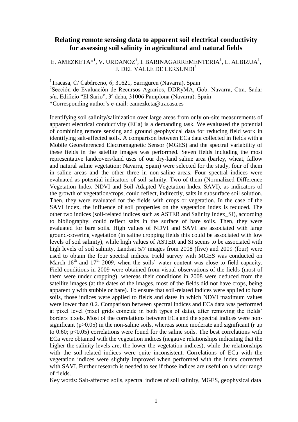#### **Relating remote sensing data to apparent soil electrical conductivity for assessing soil salinity in agricultural and natural fields**

#### E. AMEZKETA $\ast$ <sup>1</sup>, V. URDANOZ<sup>1</sup>, I. BARINAGARREMENTERIA<sup>1</sup>, L. ALBIZUA<sup>1</sup>, J. DEL VALLE DE LERSUNDI<sup>2</sup>

<sup>1</sup>Tracasa, C/ Cabárceno, 6; 31621, Sarriguren (Navarra). Spain 2 Sección de Evaluación de Recursos Agrarios, DDRyMA, Gob. Navarra, Ctra. Sadar s/n, Edificio "El Sario", 3º dcha, 31006 Pamplona (Navarra). Spain \*Corresponding author's e-mail: eamezketa@tracasa.es

Identifying soil salinity/salinization over large areas from only on-site measurements of apparent electrical conductivity (ECa) is a demanding task. We evaluated the potential of combining remote sensing and ground geophysical data for reducing field work in identifying salt-affected soils. A comparison between ECa data collected in fields with a Mobile Georeferenced Electromagnetic Sensor (MGES) and the spectral variability of these fields in the satellite images was performed. Seven fields including the most representative landcovers/land uses of our dry-land saline area (barley, wheat, fallow and natural saline vegetation; Navarra, Spain) were selected for the study, four of them in saline areas and the other three in non-saline areas. Four spectral indices were evaluated as potential indicators of soil salinity. Two of them (Normalized Difference Vegetation Index\_NDVI and Soil Adapted Vegetation Index\_SAVI), as indicators of the growth of vegetation/crops, could reflect, indirectly, salts in subsurface soil solution. Then, they were evaluated for the fields with crops or vegetation. In the case of the SAVI index, the influence of soil properties on the vegetation index is reduced. The other two indices (soil-related indices such as ASTER and Salinity Index\_SI), according to bibliography, could reflect salts in the surface of bare soils. Then, they were evaluated for bare soils. High values of NDVI and SAVI are associated with large ground-covering vegetation (in saline cropping fields this could be associated with low levels of soil salinity), while high values of ASTER and SI seems to be associated with high levels of soil salinity. Landsat 5/7 images from 2008 (five) and 2009 (four) were used to obtain the four spectral indices. Field survey with MGES was conducted on March  $16<sup>th</sup>$  and  $17<sup>th</sup>$  2009, when the soils' water content was close to field capacity. Field conditions in 2009 were obtained from visual observations of the fields (most of them were under cropping), whereas their conditions in 2008 were deduced from the satellite images (at the dates of the images, most of the fields did not have crops, being apparently with stubble or bare). To ensure that soil-related indices were applied to bare soils, those indices were applied to fields and dates in which NDVI maximum values were lower than 0.2. Comparison between spectral indices and ECa data was performed at pixel level (pixel grids coincide in both types of data), after removing the fields' borders pixels. Most of the correlations between ECa and the spectral indices were nonsignificant ( $p > 0.05$ ) in the non-saline soils, whereas some moderate and significant (r up to 0.60; p<0.05) correlations were found for the saline soils. The best correlations with ECa were obtained with the vegetation indices (negative relationships indicating that the higher the salinity levels are, the lower the vegetation indices), while the relationships with the soil-related indices were quite inconsistent. Correlations of ECa with the vegetation indices were slightly improved when performed with the index corrected with SAVI. Further research is needed to see if those indices are useful on a wider range of fields.

Key words: Salt-affected soils, spectral indices of soil salinity, MGES, geophysical data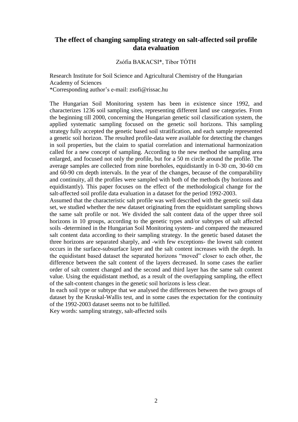#### **The effect of changing sampling strategy on salt-affected soil profile data evaluation**

#### Zsófia BAKACSI\*, Tibor TÓTH

Research Institute for Soil Science and Agricultural Chemistry of the Hungarian Academy of Sciences \*Corresponding author's e-mail: zsofi@rissac.hu

The Hungarian Soil Monitoring system has been in existence since 1992, and characterizes 1236 soil sampling sites, representing different land use categories. From the beginning till 2000, concerning the Hungarian genetic soil classification system, the applied systematic sampling focused on the genetic soil horizons. This sampling strategy fully accepted the genetic based soil stratification, and each sample represented a genetic soil horizon. The resulted profile-data were available for detecting the changes in soil properties, but the claim to spatial correlation and international harmonization called for a new concept of sampling. According to the new method the sampling area enlarged, and focused not only the profile, but for a 50 m circle around the profile. The average samples are collected from nine boreholes, equidistantly in 0-30 cm, 30-60 cm and 60-90 cm depth intervals. In the year of the changes, because of the comparability and continuity, all the profiles were sampled with both of the methods (by horizons and equidistantly). This paper focuses on the effect of the methodological change for the salt-affected soil profile data evaluation in a dataset for the period 1992-2003.

Assumed that the characteristic salt profile was well described with the genetic soil data set, we studied whether the new dataset originating from the equidistant sampling shows the same salt profile or not. We divided the salt content data of the upper three soil horizons in 10 groups, according to the genetic types and/or subtypes of salt affected soils -determined in the Hungarian Soil Monitoring system- and compared the measured salt content data according to their sampling strategy. In the genetic based dataset the three horizons are separated sharply, and -with few exceptions- the lowest salt content occurs in the surface-subsurface layer and the salt content increases with the depth. In the equidistant based dataset the separated horizons "moved" closer to each other, the difference between the salt content of the layers decreased. In some cases the earlier order of salt content changed and the second and third layer has the same salt content value. Using the equidistant method, as a result of the overlapping sampling, the effect of the salt-content changes in the genetic soil horizons is less clear.

In each soil type or subtype that we analysed the differences between the two groups of dataset by the Kruskal-Wallis test, and in some cases the expectation for the continuity of the 1992-2003 dataset seems not to be fulfilled.

Key words: sampling strategy, salt-affected soils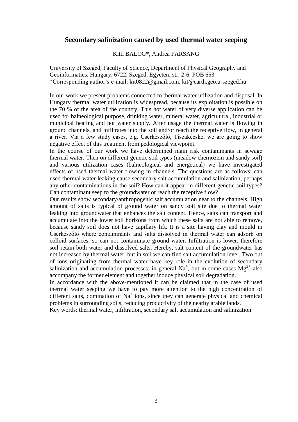#### **Secondary salinization caused by used thermal water seeping**

Kitti BALOG\*, Andrea FARSANG

University of Szeged, Faculty of Science, Department of Physical Geography and Geoinformatics, Hungary, 6722, Szeged, Egyetem str. 2-6. POB 653 \*Corresponding author's e-mail: kit0822@gmail.com, kit@earth.geo.u-szeged.hu

In our work we present problems connected to thermal water utilization and disposal. In Hungary thermal water utilization is widespread, because its exploitation is possible on the 70 % of the area of the country. This hot water of very diverse application can be used for balneological purpose, drinking water, mineral water, agricultural, industrial or municipal heating and hot water supply. After usage the thermal water is flowing in ground channels, and infiltrates into the soil and/or reach the receptive flow, in general a river. Via a few study cases, e.g. Cserkeszőlő, Tiszakécske, we are going to show negative effect of this treatment from pedological viewpoint.

In the course of our work we have determined main risk contaminants in sewage thermal water. Then on different genetic soil types (meadow chernozem and sandy soil) and various utilization cases (balneological and energetical) we have investigated effects of used thermal water flowing in channels. The questions are as follows: can used thermal water leaking cause secondary salt accumulation and salinization, perhaps any other contaminations in the soil? How can it appear in different genetic soil types? Can contaminant seep to the groundwater or reach the receptive flow?

Our results show secondary/anthropogenic salt accumulation near to the channels. High amount of salts is typical of ground water on sandy soil site due to thermal water leaking into groundwater that enhances the salt content. Hence, salts can transport and accumulate into the lower soil horizons from which these salts are not able to remove, because sandy soil does not have capillary lift. It is a site having clay and mould in Cserkeszőlő where contaminants and salts dissolved in thermal water can adsorb on colloid surfaces, so can not contaminate ground water. Infiltration is lower, therefore soil retain both water and dissolved salts. Hereby, salt content of the groundwater has not increased by thermal water, but in soil we can find salt accumulation level. Two out of ions originating from thermal water have key role in the evolution of secondary salinization and accumulation processes: in general Na<sup>+</sup>, but in some cases  $Mg^{2+}$  also accompany the former element and together induce physical soil degradation.

In accordance with the above-mentioned it can be claimed that in the case of used thermal water seeping we have to pay more attention to the high concentration of different salts, domination of  $Na<sup>+</sup>$  ions, since they can generate physical and chemical problems in surrounding soils, reducing productivity of the nearby arable lands.

Key words: thermal water, infiltration, secondary salt accumulation and salinization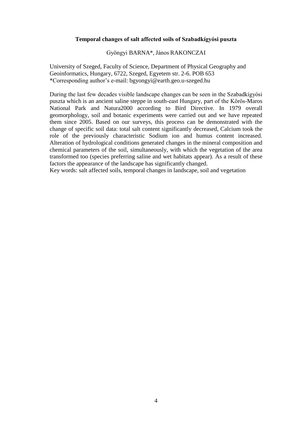#### **Temporal changes of salt affected soils of Szabadkígyósi puszta**

#### Gyöngyi BARNA\*, János RAKONCZAI

University of Szeged, Faculty of Science, Department of Physical Geography and Geoinformatics, Hungary, 6722, Szeged, Egyetem str. 2-6. POB 653 \*Corresponding author's e-mail: bgyongyi@earth.geo.u-szeged.hu

During the last few decades visible landscape changes can be seen in the Szabadkígyósi puszta which is an ancient saline steppe in south-east Hungary, part of the Körös-Maros National Park and Natura2000 according to Bird Directive. In 1979 overall geomorphology, soil and botanic experiments were carried out and we have repeated them since 2005. Based on our surveys, this process can be demonstrated with the change of specific soil data: total salt content significantly decreased, Calcium took the role of the previously characteristic Sodium ion and humus content increased. Alteration of hydrological conditions generated changes in the mineral composition and chemical parameters of the soil, simultaneously, with which the vegetation of the area transformed too (species preferring saline and wet habitats appear). As a result of these factors the appearance of the landscape has significantly changed.

Key words: salt affected soils, temporal changes in landscape, soil and vegetation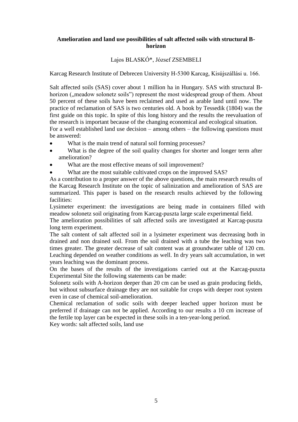#### **Amelioration and land use possibilities of salt affected soils with structural Bhorizon**

#### Lajos BLASKÓ\*, József ZSEMBELI

Karcag Research Institute of Debrecen University H-5300 Karcag, Kisújszállási u. 166.

Salt affected soils (SAS) cover about 1 million ha in Hungary. SAS with structural Bhorizon (, meadow solonetz soils") represent the most widespread group of them. About 50 percent of these soils have been reclaimed and used as arable land until now. The practice of reclamation of SAS is two centuries old. A book by Tessedik (1804) was the first guide on this topic. In spite of this long history and the results the reevaluation of the research is important because of the changing economical and ecological situation. For a well established land use decision – among others – the following questions must be answered:

- What is the main trend of natural soil forming processes?
- What is the degree of the soil quality changes for shorter and longer term after amelioration?
- What are the most effective means of soil improvement?
- What are the most suitable cultivated crops on the improved SAS?

As a contribution to a proper answer of the above questions, the main research results of the Karcag Research Institute on the topic of salinization and amelioration of SAS are summarized. This paper is based on the research results achieved by the following facilities:

Lysimeter experiment: the investigations are being made in containers filled with meadow solonetz soil originating from Karcag-puszta large scale experimental field.

The amelioration possibilities of salt affected soils are investigated at Karcag-puszta long term experiment.

The salt content of salt affected soil in a lysimeter experiment was decreasing both in drained and non drained soil. From the soil drained with a tube the leaching was two times greater. The greater decrease of salt content was at groundwater table of 120 cm. Leaching depended on weather conditions as well. In dry years salt accumulation, in wet years leaching was the dominant process.

On the bases of the results of the investigations carried out at the Karcag-puszta Experimental Site the following statements can be made:

Solonetz soils with A-horizon deeper than 20 cm can be used as grain producing fields, but without subsurface drainage they are not suitable for crops with deeper root system even in case of chemical soil-amelioration.

Chemical reclamation of sodic soils with deeper leached upper horizon must be preferred if drainage can not be applied. According to our results a 10 cm increase of the fertile top layer can be expected in these soils in a ten-year-long period.

Key words: salt affected soils, land use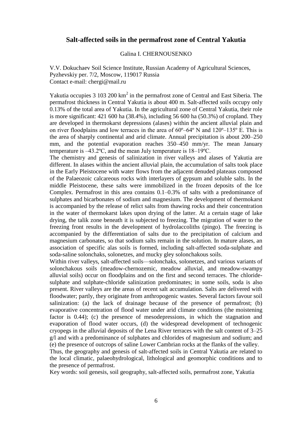#### **Salt-affected soils in the permafrost zone of Central Yakutia**

#### Galina I. CHERNOUSENKO

V.V. Dokuchaev Soil Science Institute, Russian Academy of Agricultural Sciences, Pyzhevskiy per. 7/2, Moscow, 119017 Russia Contact e-mail: chergi@mail.ru

Yakutia occupies 3 103 200 km<sup>2</sup> in the permafrost zone of Central and East Siberia. The permafrost thickness in Central Yakutia is about 400 m. Salt-affected soils occupy only 0.13% of the total area of Yakutia. In the agricultural zone of Central Yakutia, their role is more significant: 421 600 ha (38.4%), including 56 600 ha (50.3%) of cropland. They are developed in thermokarst depressions (alases) within the ancient alluvial plain and on river floodplains and low terraces in the area of  $60^{\circ} - 64^{\circ}$  N and  $120^{\circ} - 135^{\circ}$  E. This is the area of sharply continental and arid climate. Annual precipitation is about 200–250 mm, and the potential evaporation reaches 350–450 mm/yr. The mean January temperature is –43.2ºC, and the mean July temperature is 18–19ºC.

The chemistry and genesis of salinization in river valleys and alases of Yakutia are different. In alases within the ancient alluvial plain, the accumulation of salts took place in the Early Pleistocene with water flows from the adjacent denuded plateaus composed of the Palaeozoic calcareous rocks with interlayers of gypsum and soluble salts. In the middle Pleistocene, these salts were immobilized in the frozen deposits of the Ice Complex. Permafrost in this area contains 0.1–0.3% of salts with a predominance of sulphates and bicarbonates of sodium and magnesium. The development of thermokarst is accompanied by the release of relict salts from thawing rocks and their concentration in the water of thermokarst lakes upon drying of the latter. At a certain stage of lake drying, the talik zone beneath it is subjected to freezing. The migration of water to the freezing front results in the development of hydrolaccoliths (pingo). The freezing is accompanied by the differentiation of salts due to the precipitation of calcium and magnesium carbonates, so that sodium salts remain in the solution. In mature alases, an association of specific alas soils is formed, including salt-affected soda-sulphate and soda-saline solonchaks, solonetzes, and mucky gley solonchakous soils.

Within river valleys, salt-affected soils—solonchaks, solonetzes, and various variants of solonchakous soils (meadow-chernozemic, meadow alluvial, and meadow-swampy alluvial soils) occur on floodplains and on the first and second terraces. The chloridesulphate and sulphate-chloride salinization predominates; in some soils, soda is also present. River valleys are the areas of recent salt accumulation. Salts are delivered with floodwater; partly, they originate from anthropogenic wastes. Several factors favour soil salinization: (a) the lack of drainage because of the presence of permafrost; (b) evaporative concentration of flood water under arid climate conditions (the moistening factor is 0.44); (c) the presence of mesodepressions, in which the stagnation and evaporation of flood water occurs, (d) the widespread development of technogenic cryopegs in the alluvial deposits of the Lena River terraces with the salt content of 3–25 g/l and with a predominance of sulphates and chlorides of magnesium and sodium; and (e) the presence of outcrops of saline Lower Cambrian rocks at the flanks of the valley.

Thus, the geography and genesis of salt-affected soils in Central Yakutia are related to the local climatic, palaeohydrological, lithological and geomorphic conditions and to the presence of permafrost.

Key words: soil genesis, soil geography, salt-affected soils, permafrost zone, Yakutia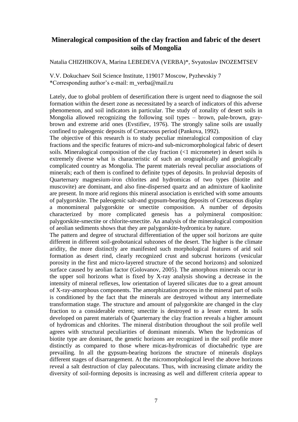## **Mineralogical composition of the clay fraction and fabric of the desert soils of Mongolia**

Natalia CHIZHIKOVA, Marina LEBEDEVA (VERBA)\*, Svyatoslav INOZEMTSEV

V.V. Dokuchaev Soil Science Institute, 119017 Moscow, Pyzhevskiy 7 \*Corresponding author's e-mail: m\_verba@mail.ru

Lately, due to global problem of desertification there is urgent need to diagnose the soil formation within the desert zone as necessitated by a search of indicators of this adverse phenomenon, and soil indicators in particular. The study of zonality of desert soils in Mongolia allowed recognizing the following soil types – brown, pale-brown, graybrown and extreme arid ones (Evstifiev, 1976). The strongly saline soils are usually confined to paleogenic deposits of Cretaceous period (Pankova, 1992).

The objective of this research is to study peculiar mineralogical composition of clay fractions and the specific features of micro-and sub-micromorphological fabric of desert soils. Mineralogical composition of the clay fraction (<1 micrometer) in desert soils is extremely diverse what is characteristic of such an orographically and geologically complicated country as Mongolia. The parent materials reveal peculiar associations of minerals; each of them is confined to definite types of deposits. In proluvial deposits of Quarternary magnesium-iron chlorites and hydromicas of two types (biotite and muscovite) are dominant, and also fine-dispersed quartz and an admixture of kaolinite are present. In more arid regions this mineral association is enriched with some amounts of palygorskite. The paleogenic salt-and gypsum-bearing deposits of Cretaceous display a monomineral palygorskite or smectite composition. A number of deposits characterized by more complicated genesis has a polymineral composition: palygorskite-smectite or chlorite-smectite. An analysis of the mineralogical composition of aeolian sediments shows that they are palygorskite-hydromica by nature.

The pattern and degree of structural differentiation of the upper soil horizons are quite different in different soil-geobotanical subzones of the desert. The higher is the climate aridity, the more distinctly are manifested such morphological features of arid soil formation as desert rind, clearly recognized crust and subcrust horizons (vesicular porosity in the first and micro-layered structure of the second horizons) and solonized surface caused by aeolian factor (Golovanov, 2005). The amorphous minerals occur in the upper soil horizons what is fixed by X-ray analysis showing a decrease in the intensity of mineral reflexes, low orientation of layered silicates due to a great amount of X-ray-amorphous components. The amorphization process in the mineral part of soils is conditioned by the fact that the minerals are destroyed without any intermediate transformation stage. The structure and amount of palygorskite are changed in the clay fraction to a considerable extent; smectite is destroyed to a lesser extent. In soils developed on parent materials of Quarternary the clay fraction reveals a higher amount of hydromicas and chlorites. The mineral distribution throughout the soil profile well agrees with structural peculiarities of dominant minerals. When the hydromicas of biotite type are dominant, the genetic horizons are recognized in the soil profile more distinctly as compared to those where micas-hydromicas of dioctahedric type are prevailing. In all the gypsum-bearing horizons the structure of minerals displays different stages of disarrangement. At the micromorphological level the above horizons reveal a salt destruction of clay paleocutans. Thus, with increasing climate aridity the diversity of soil-forming deposits is increasing as well and different criteria appear to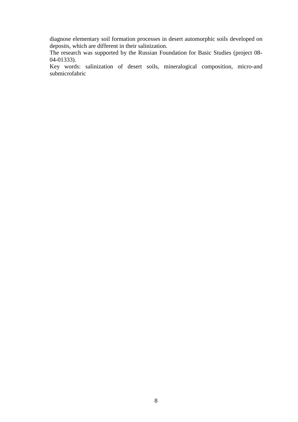diagnose elementary soil formation processes in desert automorphic soils developed on deposits, which are different in their salinization.

The research was supported by the Russian Foundation for Basic Studies (project 08- 04-01333).

Key words: salinization of desert soils, mineralogical composition, micro-and submicrofabric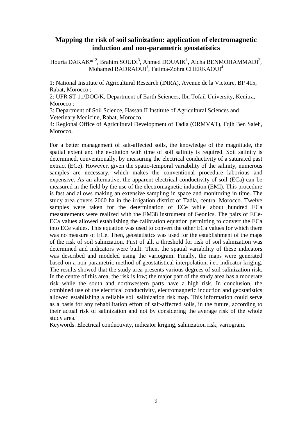#### **Mapping the risk of soil salinization: application of electromagnetic induction and non-parametric geostatistics**

Houria DAKAK $*^{12}$ , Brahim SOUDI<sup>3</sup>, Ahmed DOUAIK<sup>1</sup>, Aicha BENMOHAMMADI<sup>2</sup>, Mohamed BADRAOUI<sup>1</sup>, Fatima-Zohra CHERKAOUI<sup>4</sup>

1: National Institute of Agricultural Research (INRA), Avenue de la Victoire, BP 415, Rabat, Morocco ;

2: UFR ST 11/DOC/K, Department of Earth Sciences, Ibn Tofail University, Kenitra, Morocco:

3: Department of Soil Science, Hassan II Institute of Agricultural Sciences and Veterinary Medicine, Rabat, Morocco.

4: Regional Office of Agricultural Development of Tadla (ORMVAT), Fqih Ben Saleh, **Morocco** 

For a better management of salt-affected soils, the knowledge of the magnitude, the spatial extent and the evolution with time of soil salinity is required. Soil salinity is determined, conventionally, by measuring the electrical conductivity of a saturated past extract (ECe). However, given the spatio-temporal variability of the salinity, numerous samples are necessary, which makes the conventional procedure laborious and expensive. As an alternative, the apparent electrical conductivity of soil (ECa) can be measured in the field by the use of the electromagnetic induction (EMI). This procedure is fast and allows making an extensive sampling in space and monitoring in time. The study area covers 2060 ha in the irrigation district of Tadla, central Morocco. Twelve samples were taken for the determination of ECe while about hundred ECa measurements were realized with the EM38 instrument of Geonics. The pairs of ECe-ECa values allowed establishing the calibration equation permitting to convert the ECa into ECe values. This equation was used to convert the other ECa values for which there was no measure of ECe. Then, geostatistics was used for the establishment of the maps of the risk of soil salinization. First of all, a threshold for risk of soil salinization was determined and indicators were built. Then, the spatial variability of these indicators was described and modeled using the variogram. Finally, the maps were generated based on a non-parametric method of geostatistical interpolation, i.e., indicator kriging. The results showed that the study area presents various degrees of soil salinization risk. In the centre of this area, the risk is low; the major part of the study area has a moderate risk while the south and northwestern parts have a high risk. In conclusion, the combined use of the electrical conductivity, electromagnetic induction and geostatistics allowed establishing a reliable soil salinization risk map. This information could serve as a basis for any rehabilitation effort of salt-affected soils, in the future, according to their actual risk of salinization and not by considering the average risk of the whole study area.

Keywords. Electrical conductivity, indicator kriging, salinization risk, variogram.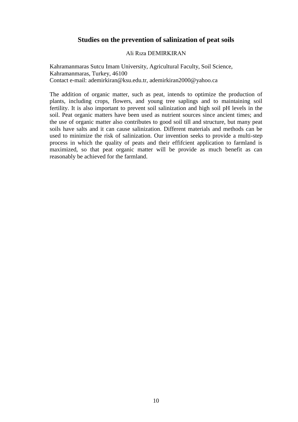## **Studies on the prevention of salinization of peat soils**

#### Ali Rıza DEMIRKIRAN

Kahramanmaras Sutcu Imam University, Agricultural Faculty, Soil Science, Kahramanmaras, Turkey, 46100 Contact e-mail: ademirkiran@ksu.edu.tr, ademirkiran2000@yahoo.ca

The addition of organic matter, such as peat, intends to optimize the production of plants, including crops, flowers, and young tree saplings and to maintaining soil fertility. It is also important to prevent soil salinization and high soil pH levels in the soil. Peat organic matters have been used as nutrient sources since ancient times; and the use of organic matter also contributes to good soil till and structure, but many peat soils have salts and it can cause salinization. Different materials and methods can be used to minimize the risk of salinization. Our invention seeks to provide a multi-step process in which the quality of peats and their effifcient application to farmland is maximized, so that peat organic matter will be provide as much benefit as can reasonably be achieved for the farmland.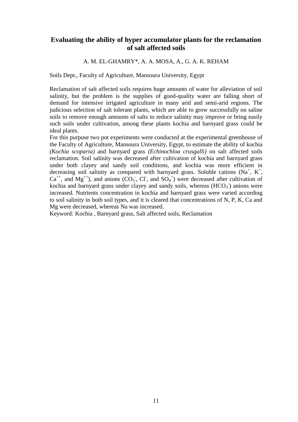## **Evaluating the ability of hyper accumulator plants for the reclamation of salt affected soils**

#### A. M. EL-GHAMRY\*, A. A. MOSA, A., G. A. K. REHAM

Soils Dept., Faculty of Agriculture, Mansoura University, Egypt

Reclamation of salt affected soils requires huge amounts of water for alleviation of soil salinity, but the problem is the supplies of good-quality water are falling short of demand for intensive irrigated agriculture in many arid and semi-arid regions. The judicious selection of salt tolerant plants, which are able to grow successfully on saline soils to remove enough amounts of salts to reduce salinity may improve or bring easily such soils under cultivation, among these plants kochia and barnyard grass could be ideal plants.

For this purpose two pot experiments were conducted at the experimental greenhouse of the Faculty of Agriculture, Mansoura University, Egypt, to estimate the ability of kochia *(Kochia scoparia)* and barnyard grass *(Echinochloa crusgalli)* on salt affected soils reclamation. Soil salinity was decreased after cultivation of kochia and barnyard grass under both clayey and sandy soil conditions, and kochia was more efficient in decreasing soil salinity as compared with barnyard grass. Soluble cations (Na<sup>+</sup>, K<sup>+</sup>,  $Ca^{++}$ , and  $Mg^{++}$ ), and anions (CO<sub>3</sub>, Cl, and  $SO_4$ <sup>=</sup>) were decreased after cultivation of kochia and barnyard grass under clayey and sandy soils, whereas  $(HCO<sub>3</sub>)$  anions were increased. Nutrients concentration in kochia and barnyard grass were varied according to soil salinity in both soil types, and it is cleared that concentrations of N, P, K, Ca and Mg were decreased, whereas Na was increased.

Keyword: Kochia , Barnyard grass, Salt affected soils, Reclamation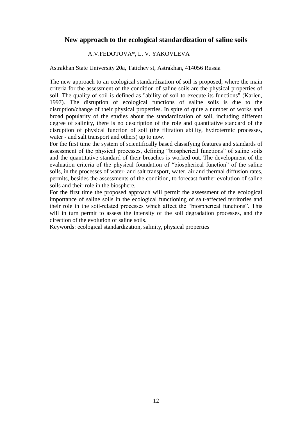## **New approach to the ecological standardization of saline soils**

#### A.V.FEDOTOVA\*, L. V. YAKOVLEVA

#### Astrakhan State University 20a, Tatichev st, Astrakhan, 414056 Russia

The new approach to an ecological standardization of soil is proposed, where the main criteria for the assessment of the condition of saline soils are the physical properties of soil. The quality of soil is defined as "ability of soil to execute its functions" (Karlen, 1997). The disruption of ecological functions of saline soils is due to the disruption/change of their physical properties. In spite of quite a number of works and broad popularity of the studies about the standardization of soil, including different degree of salinity, there is no description of the role and quantitative standard of the disruption of physical function of soil (the filtration ability, hydrotermic processes, water - and salt transport and others) up to now.

For the first time the system of scientifically based classifying features and standards of assessment of the physical processes, defining "biospherical functions" of saline soils and the quantitative standard of their breaches is worked out. The development of the [evaluation criteria](http://www.multitran.ru/c/m.exe?t=3433289_1_2) of the physical foundation of "biospherical function" of the saline soils, in the processes of water- and salt transport, water, air and thermal diffusion rates, permits, besides the assessments of the condition, to forecast further evolution of saline soils and their role in the biosphere.

For the first time the proposed approach will permit the assessment of the ecological importance of saline soils in the ecological functioning of salt-affected territories and their role in the soil-related processes which affect the "biospherical functions". This will in turn permit to assess the intensity of the soil degradation processes, and the direction of the evolution of saline soils.

Keywords: ecological standardization, salinity, physical properties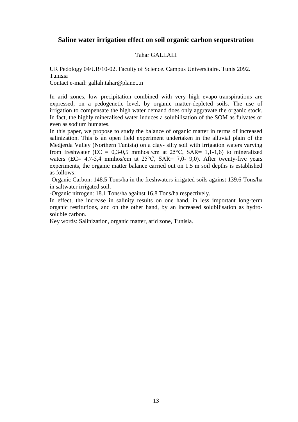## **Saline water irrigation effect on soil organic carbon sequestration**

#### Tahar GALLALI

UR Pedology 04/UR/10-02. Faculty of Science. Campus Universitaire. Tunis 2092. Tunisia

Contact e-mail: gallali.tahar@planet.tn

In arid zones, low precipitation combined with very high evapo-transpirations are expressed, on a pedogenetic level, by organic matter-depleted soils. The use of irrigation to compensate the high water demand does only aggravate the organic stock. In fact, the highly mineralised water induces a solubilisation of the SOM as fulvates or even as sodium humates.

In this paper, we propose to study the balance of organic matter in terms of increased salinization. This is an open field experiment undertaken in the alluvial plain of the Medjerda Valley (Northern Tunisia) on a clay- silty soil with irrigation waters varying from freshwater (EC = 0,3-0,5 mmhos /cm at  $25^{\circ}$ C, SAR= 1,1-1,6) to mineralized waters (EC=  $4.7-5.4$  mmhos/cm at  $25^{\circ}$ C, SAR= 7.0- 9.0). After twenty-five years experiments, the organic matter balance carried out on 1.5 m soil depths is established as follows:

-Organic Carbon: 148.5 Tons/ha in the freshwaters irrigated soils against 139.6 Tons/ha in saltwater irrigated soil.

-Organic nitrogen: 18.1 Tons/ha against 16.8 Tons/ha respectively.

In effect, the increase in salinity results on one hand, in less important long-term organic restitutions, and on the other hand, by an increased solubilisation as hydrosoluble carbon.

Key words: Salinization, organic matter, arid zone, Tunisia.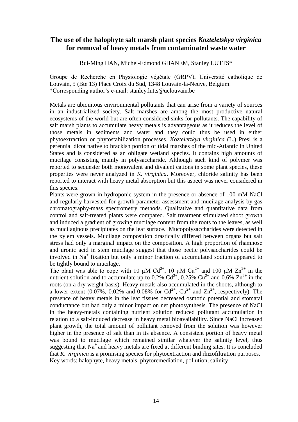### **The use of the halophyte salt marsh plant species** *Kozteletskya virginica* **for removal of heavy metals from contaminated waste water**

Rui-Ming HAN, Michel-Edmond GHANEM, Stanley LUTTS\*

Groupe de Recherche en Physiologie végétale (GRPV), Université catholique de Louvain, 5 (Bte 13) Place Croix du Sud, 1348 Louvain-la-Neuve, Belgium. \*Corresponding author's e-mail: stanley.lutts@uclouvain.be

Metals are ubiquitous environmental pollutants that can arise from a variety of sources in an industrialized society. Salt marshes are among the most productive natural ecosystems of the world but are often considered sinks for pollutants. The capability of salt marsh plants to accumulate heavy metals is advantageous as it reduces the level of those metals in sediments and water and they could thus be used in either phytoextraction or phytostabilization processes. *Kozteletzkya virginica* (L.) Presl is a perennial dicot native to brackish portion of tidal marshes of the mid-Atlantic in United States and is considered as an obligate wetland species. It contains high amounts of mucilage consisting mainly in polysaccharide. Although such kind of polymer was reported to sequester both monovalent and divalent cations in some plant species, these properties were never analyzed in *K. virginica*. Moreover, chloride salinity has been reported to interact with heavy metal absorption but this aspect was never considered in this species.

Plants were grown in hydroponic system in the presence or absence of 100 mM NaCl and regularly harvested for growth parameter assessment and mucilage analysis by gas chromatography-mass spectrometry methods. Qualitative and quantitative data from control and salt-treated plants were compared. Salt treatment stimulated shoot growth and induced a gradient of growing mucilage content from the roots to the leaves, as well as mucilaginous precipitates on the leaf surface. Mucopolysaccharides were detected in the xylem vessels. Mucilage composition drastically differed between organs but salt stress had only a marginal impact on the composition. A high proportion of rhamnose and uronic acid in stem mucilage suggest that those pectic polysaccharides could be involved in Na<sup>+</sup> fixation but only a minor fraction of accumulated sodium appeared to be tightly bound to mucilage.

The plant was able to cope with 10  $\mu$ M Cd<sup>2+</sup>, 10  $\mu$ M Cu<sup>2+</sup> and 100  $\mu$ M Zn<sup>2+</sup> in the nutrient solution and to accumulate up to 0.2%  $Cd^{2+}$ , 0.25%  $Cu^{2+}$  and 0.6%  $Zn^{2+}$  in the roots (on a dry weight basis). Heavy metals also accumulated in the shoots, although to a lower extent (0.07%, 0.02% and 0.08% for  $Cd^{2+}$ ,  $Cu^{2+}$  and  $Zn^{2+}$ , respectively). The presence of heavy metals in the leaf tissues decreased osmotic potential and stomatal conductance but had only a minor impact on net photosynthesis. The presence of NaCl in the heavy-metals containing nutrient solution reduced pollutant accumulation in relation to a salt-induced decrease in heavy metal bioavailability. Since NaCl increased plant growth, the total amount of pollutant removed from the solution was however higher in the presence of salt than in its absence. A consistent portion of heavy metal was bound to mucilage which remained similar whatever the salinity level, thus suggesting that  $Na<sup>+</sup>$  and heavy metals are fixed at different binding sites. It is concluded that *K. virginica* is a promising species for phytoextraction and rhizofiltration purposes. Key words: halophyte, heavy metals, phytoremediation, pollution, salinity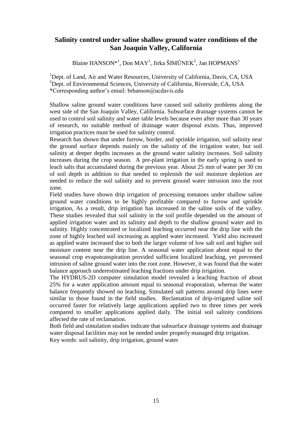## **Salinity control under saline shallow ground water conditions of the San Joaquin Valley, California**

Blaine HANSON\*<sup>1</sup>, Don MAY<sup>1</sup>, Jirka ŠIMŮNEK<sup>2</sup>, Jan HOPMANS<sup>1</sup>

<sup>1</sup>Dept. of Land, Air and Water Resources, University of California, Davis, CA, USA  $^{2}$ Dept. of Environmental Sciences, University of California, Riverside, CA, USA \*Corresponding author's email: brhanson@ucdavis.edu

Shallow saline ground water conditions have caused soil salinity problems along the west side of the San Joaquin Valley, California. Subsurface drainage systems cannot be used to control soil salinity and water table levels because even after more than 30 years of research, no suitable method of drainage water disposal exists. Thus, improved irrigation practices must be used for salinity control.

Research has shown that under furrow, border, and sprinkle irrigation, soil salinity near the ground surface depends mainly on the salinity of the irrigation water, but soil salinity at deeper depths increases as the ground water salinity increases. Soil salinity increases during the crop season. A pre-plant irrigation in the early spring is used to leach salts that accumulated during the previous year. About 25 mm of water per 30 cm of soil depth in addition to that needed to replenish the soil moisture depletion are needed to reduce the soil salinity and to prevent ground water intrusion into the root zone.

Field studies have shown drip irrigation of processing tomatoes under shallow saline ground water conditions to be highly profitable compared to furrow and sprinkle irrigation, As a result, drip irrigation has increased in the saline soils of the valley. These studies revealed that soil salinity in the soil profile depended on the amount of applied irrigation water and its salinity and depth to the shallow ground water and its salinity. Highly concentrated or localized leaching occurred near the drip line with the zone of highly leached soil increasing as applied water increased. Yield also increased as applied water increased due to both the larger volume of low salt soil and higher soil moisture content near the drip line. A seasonal water application about equal to the seasonal crop evapotranspiration provided sufficient localized leaching, yet prevented intrusion of saline ground water into the root zone. However, it was found that the water balance approach underestimated leaching fractions under drip irrigation.

The HYDRUS-2D computer simulation model revealed a leaching fraction of about 25% for a water application amount equal to seasonal evaporation, whereas the water balance frequently showed no leaching. Simulated salt patterns around drip lines were similar to those found in the field studies. Reclamation of drip-irrigated saline soil occurred faster for relatively large applications applied two to three times per week compared to smaller applications applied daily. The initial soil salinity conditions affected the rate of reclamation.

Both field and simulation studies indicate that subsurface drainage systems and drainage water disposal facilities may not be needed under properly managed drip irrigation. Key words: soil salinity, drip irrigation, ground water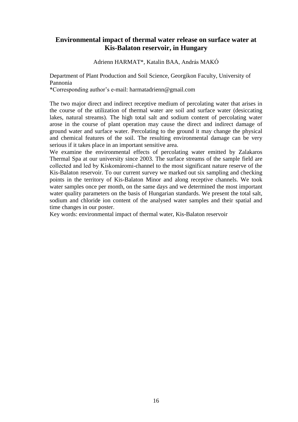## **Environmental impact of thermal water release on surface water at Kis-Balaton reservoir, in Hungary**

Adrienn HARMAT\*, Katalin BAA, András MAKÓ

Department of Plant Production and Soil Science, Georgikon Faculty, University of Pannonia

\*Corresponding author's e-mail: harmatadrienn@gmail.com

The two major direct and indirect receptive medium of percolating water that arises in the course of the utilization of thermal water are soil and surface water (desiccating lakes, natural streams). The high total salt and sodium content of percolating water arose in the course of plant operation may cause the direct and indirect damage of ground water and surface water. Percolating to the ground it may change the physical and chemical features of the soil. The resulting environmental damage can be very serious if it takes place in an important sensitive area.

We examine the environmental effects of percolating water emitted by Zalakaros Thermal Spa at our university since 2003. The surface streams of the sample field are collected and led by Kiskomáromi-channel to the most significant nature reserve of the Kis-Balaton reservoir. To our current survey we marked out six sampling and checking points in the territory of Kis-Balaton Minor and along receptive channels. We took water samples once per month, on the same days and we determined the most important water quality parameters on the basis of Hungarian standards. We present the total salt, sodium and chloride ion content of the analysed water samples and their spatial and time changes in our poster.

Key words: environmental impact of thermal water, Kis-Balaton reservoir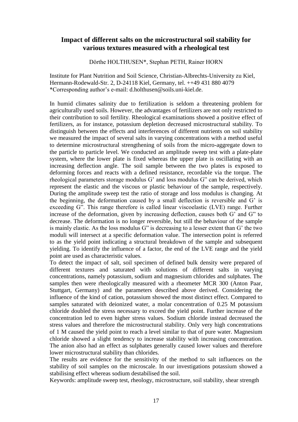#### **Impact of different salts on the microstructural soil stability for various textures measured with a rheological test**

Dörthe HOLTHUSEN\*, Stephan PETH, Rainer HORN

Institute for Plant Nutrition and Soil Science, Christian-Albrechts-University zu Kiel, Hermann-Rodewald-Str. 2, D-24118 Kiel, Germany, tel. ++49 431 880 4079 \*Corresponding author's e-mail: d.holthusen@soils.uni-kiel.de.

In humid climates salinity due to fertilization is seldom a threatening problem for agriculturally used soils. However, the advantages of fertilizers are not only restricted to their contribution to soil fertility. Rheological examinations showed a positive effect of fertilizers, as for instance, potassium depletion decreased microstructural stability. To distinguish between the effects and interferences of different nutrients on soil stability we measured the impact of several salts in varying concentrations with a method useful to determine microstructural strengthening of soils from the micro-aggregate down to the particle to particle level. We conducted an amplitude sweep test with a plate-plate system, where the lower plate is fixed whereas the upper plate is oscillating with an increasing deflection angle. The soil sample between the two plates is exposed to deforming forces and reacts with a defined resistance, recordable via the torque. The rheological parameters storage modulus G' and loss modulus G" can be derived, which represent the elastic and the viscous or plastic behaviour of the sample, respectively. During the amplitude sweep test the ratio of storage and loss modulus is changing. At the beginning, the deformation caused by a small deflection is reversible and G' is exceeding G". This range therefore is called linear viscoelastic (LVE) range. Further increase of the deformation, given by increasing deflection, causes both G' and G" to decrease. The deformation is no longer reversible, but still the behaviour of the sample is mainly elastic. As the loss modulus G" is decreasing to a lesser extent than G' the two moduli will intersect at a specific deformation value. The intersection point is referred to as the yield point indicating a structural breakdown of the sample and subsequent yielding. To identify the influence of a factor, the end of the LVE range and the yield point are used as characteristic values.

To detect the impact of salt, soil specimen of defined bulk density were prepared of different textures and saturated with solutions of different salts in varying concentrations, namely potassium, sodium and magnesium chlorides and sulphates. The samples then were rheologically measured with a rheometer MCR 300 (Anton Paar, Stuttgart, Germany) and the parameters described above derived. Considering the influence of the kind of cation, potassium showed the most distinct effect. Compared to samples saturated with deionized water, a molar concentration of 0.25 M potassium chloride doubled the stress necessary to exceed the yield point. Further increase of the concentration led to even higher stress values. Sodium chloride instead decreased the stress values and therefore the microstructural stability. Only very high concentrations of 1 M caused the yield point to reach a level similar to that of pure water. Magnesium chloride showed a slight tendency to increase stability with increasing concentration. The anion also had an effect as sulphates generally caused lower values and therefore lower microstructural stability than chlorides.

The results are evidence for the sensitivity of the method to salt influences on the stability of soil samples on the microscale. In our investigations potassium showed a stabilising effect whereas sodium destabilised the soil.

Keywords: amplitude sweep test, rheology, microstructure, soil stability, shear strength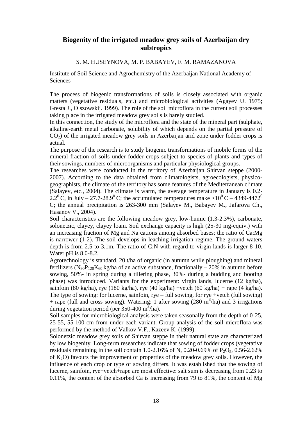## **Biogenity of the irrigated meadow grey soils of Azerbaijan dry subtropics**

#### S. M. HUSEYNOVA, M. P. BABAYEV, F. M. RAMAZANOVA

Institute of Soil Science and Agrochemistry of the Azerbaijan National Academy of **Sciences** 

The process of biogenic transformations of soils is closely associated with organic matters (vegetative residuals, etc.) and microbiological activities (Agayev U. 1975; Gresta J., Olszowskij. 1999). The role of the soil microflora in the current soil processes taking place in the irrigated meadow grey soils is barely studied.

In this connection, the study of the microflora and the state of the mineral part (sulphate, alkaline-earth metal carbonate, solubility of which depends on the partial pressure of  $CO<sub>2</sub>$ ) of the irrigated meadow grey soils in Azerbaijan arid zone under fodder crops is actual.

The purpose of the research is to study biogenic transformations of mobile forms of the mineral fraction of soils under fodder crops subject to species of plants and types of their sowings, numbers of microorganisms and particular physiological groups.

The researches were conducted in the territory of Azerbaijan Shirvan steppe (2000- 2007). According to the data obtained from climatologists, agroecologists, physicogeographists, the climate of the territory has some features of the Mediterranean climate (Salayev, etc., 2004). The climate is warm, the average temperature in January is 0.2- 2.2<sup>0</sup> C, in July – 27.7-28.9<sup>0</sup> C; the accumulated temperatures make >10<sup>0</sup> C – 4349-4472<sup>0</sup> C; the annual precipitation is 263-300 mm (Salayev M., Babayev M., Jafarova Ch., Hasanov V., 2004).

Soil characteristics are the following meadow grey, low-humic (1.3-2.3%), carbonate, solonetzic, clayey, clayey loam. Soil exchange capacity is high (25-30 mg-equiv.) with an increasing fraction of Mg and Na cations among absorbed bases; the ratio of Ca:Mg is narrower (1-2). The soil develops in leaching irrigation regime. The ground waters depth is from 2.5 to 3.1m. The ratio of C:N with regard to virgin lands is larger 8-10. Water pH is 8.0-8.2.

Agrotechnology is standard. 20 t/ha of organic (in autumn while ploughing) and mineral fertilizers (N<sub>90</sub>P<sub>120</sub>K<sub>60</sub> kg/ha of an active substance, fractionally – 20% in autumn before sowing, 50%- in spring during a tillering phase, 30%- during a budding and booting phase) was introduced. Variants for the experiment: virgin lands, lucerne (12 kg/ha), sainfoin (80 kg/ha), rye (180 kg/ha), rye (40 kg/ha) +vetch (60 kg/ha) + rape (4 kg/ha). The type of sowing: for lucerne, sainfoin, rye – full sowing, for rye +vetch (full sowing) + rape (full and cross sowing). Watering: 1 after sowing  $(280 \text{ m}^3/\text{ha})$  and 3 irrigations during vegetation period (per  $350-400 \text{ m}^3/\text{ha}$ ).

Soil samples for microbiological analysis were taken seasonally from the depth of 0-25, 25-55, 55-100 cm from under each variant. Group analysis of the soil microflora was performed by the method of Valkov V.F., Kazeev K. (1999).

Solonetzic meadow grey soils of Shirvan steppe in their natural state are characterized by low biogenity. Long-term researches indicate that sowing of fodder crops (vegetative residuals remaining in the soil contain 1.0-2.16% of N, 0.20-0.69% of  $P_2O_5$ , 0.56-2.62% of  $K_2O$ ) favours the improvement of properties of the meadow grey soils. However, the influence of each crop or type of sowing differs. It was established that the sowing of lucerne, sainfoin, rye+vetch+rape are most effective: salt sum is decreasing from 0.23 to 0.11%, the content of the absorbed Ca is increasing from 79 to 81%, the content of Mg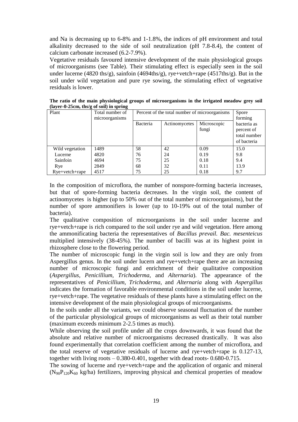and Na is decreasing up to 6-8% and 1-1.8%, the indices of pH environment and total alkalinity decreased to the side of soil neutralization (pH 7.8-8.4), the content of calcium carbonate increased (6.2-7.9%).

Vegetative residuals favoured intensive development of the main physiological groups of microorganisms (see Table). Their stimulating effect is especially seen in the soil under lucerne (4820 ths/g), sainfoin (4694ths/g), rye+vetch+rape (4517ths/g). But in the soil under wild vegetation and pure rye sowing, the stimulating effect of vegetative residuals is lower.

| $\mu$ , $\mu$ or $\sigma$ and $\sigma$ and $\sigma$ are solid in spiring |                 |                                               |               |             |              |  |  |  |
|--------------------------------------------------------------------------|-----------------|-----------------------------------------------|---------------|-------------|--------------|--|--|--|
| Plant                                                                    | Total number of | Percent of the total number of microorganisms |               |             | Spore        |  |  |  |
|                                                                          | microorganisms  |                                               |               |             | forming      |  |  |  |
|                                                                          |                 | Bacteria                                      | Actinomycetes | Microscopic | bacteria as  |  |  |  |
|                                                                          |                 |                                               |               | fungi       | percent of   |  |  |  |
|                                                                          |                 |                                               |               |             | total number |  |  |  |
|                                                                          |                 |                                               |               |             | of bacteria  |  |  |  |
| Wild vegetation                                                          | 1489            | 58                                            | 42            | 0.09        | 15.0         |  |  |  |
| Lucerne                                                                  | 4820            | 76                                            | 24            | 0.19        | 9.8          |  |  |  |
| Sainfoin                                                                 | 4694            | 75                                            | 25            | 0.18        | 9.4          |  |  |  |
| Rye                                                                      | 2849            | 68                                            | 32            | 0.11        | 13.9         |  |  |  |
| $Rye+vector+range$                                                       | 4517            | 75                                            | 25            | 0.18        | 9.7          |  |  |  |

**The ratio of the main physiological groups of microorganisms in the irrigated meadow grey soil (layer-0-25cm, ths/g of soil) in spring**

In the composition of microflora, the number of nonspore-forming bacteria increases, but that of spore-forming bacteria decreases. In the virgin soil, the content of actinomycetes is higher (up to 50% out of the total number of microorganisms), but the number of spore ammonifiers is lower (up to 10-19% out of the total number of bacteria).

The qualitative composition of microorganisms in the soil under lucerne and rye+vetch+rape is rich compared to the soil under rye and wild vegetation. Here among the ammonificating bacteria the representatives of *Bacillus prevail. Bac. mesenteicus* multiplied intensively (38-45%). The number of bacilli was at its highest point in rhizosphere close to the flowering period.

The number of microscopic fungi in the virgin soil is low and they are only from Aspergillus genus. In the soil under lucern and rye+vetch+rape there are an increasing number of microscopic fungi and enrichment of their qualitative composition (*Aspergillus, Penicillium, Trichoderma*, and *Alternaria*). The appearance of the representatives of *Penicillium, Trichoderma*, and *Alternaria* along with *Aspergillus* indicates the formation of favorable environmental conditions in the soil under lucerne, rye+vetch+rape. The vegetative residuals of these plants have a stimulating effect on the intensive development of the main physiological groups of microorganisms.

In the soils under all the variants, we could observe seasonal fluctuation of the number of the particular physiological groups of microorganisms as well as their total number (maximum exceeds minimum 2-2.5 times as much).

While observing the soil profile under all the crops downwards, it was found that the absolute and relative number of microorganisms decreased drastically. It was also found experimentally that correlation coefficient among the number of microflora, and the total reserve of vegetative residuals of lucerne and rye+vetch+rape is 0.127-13, together with living roots – 0.380-0.401, together with dead roots- 0.680-0.715.

The sowing of lucerne and rye+vetch+rape and the application of organic and mineral  $(N_{90}P_{120}K_{60}$  kg/ha) fertilizers, improving physical and chemical properties of meadow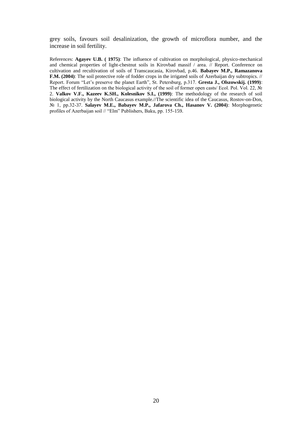grey soils, favours soil desalinization, the growth of microflora number, and the increase in soil fertility.

References: **Agayev U.B. ( 1975)**: The influence of cultivation on morphological, physico-mechanical and chemical properties of light-chestnut soils in Kirovbad massif / area. // Report. Conference on cultivation and recultivation of soils of Transcaucasia, Kirovbad, p.46. **Babayev M.P., Ramazanova F.M. (2004)**: The soil protective role of fodder crops in the irrigated soils of Azerbaijan dry subtropics. // Report. Forum "Let's preserve the planet Earth", St. Petersburg, p.317. **Gresta J., Olszowskij. (1999)**: The effect of fertilization on the biological activity of the soil of former open casts/ Ecol. Pol. Vol. 22, № 2. **Valkov V.F., Kazeev K.SH., Kolesnikov S.I., (1999)**: The methodology of the research of soil biological activity by the North Caucasus example.//The scientific idea of the Caucasus, Rostov-on-Don, № 1, pp.32-37. **Salayev M.E., Babayev M.P., Jafarova Ch., Hasanov V. (2004)**: Morphogenetic profiles of Azerbaijan soil // "Elm" Publishers, Baku, pp. 155-159.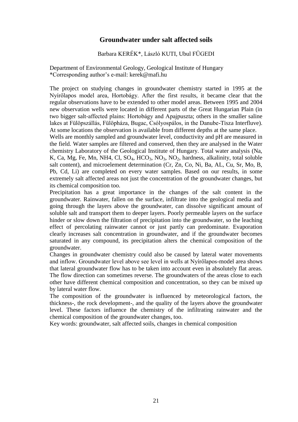## **Groundwater under salt affected soils**

#### Barbara KERÉK\*, László KUTI, Ubul FÜGEDI

Department of Environmental Geology, Geological Institute of Hungary \*Corresponding author's e-mail: kerek@mafi.hu

The project on studying changes in groundwater chemistry started in 1995 at the Nyírőlapos model area, Hortobágy. After the first results, it became clear that the regular observations have to be extended to other model areas. Between 1995 and 2004 new observation wells were located in different parts of the Great Hungarian Plain (in two bigger salt-affected plains: Hortobágy and Apajpuszta; others in the smaller saline lakes at Fülöpszállás, Fülöpháza, Bugac, Csólyospálos, in the Danube-Tisza Interfluve). At some locations the observation is available from different depths at the same place.

Wells are monthly sampled and groundwater level, conductivity and pH are measured in the field. Water samples are filtered and conserved, then they are analysed in the Water chemistry Laboratory of the Geological Institute of Hungary. Total water analysis (Na, K, Ca, Mg, Fe, Mn, NH4, Cl,  $SO_4$ ,  $HCO_3$ ,  $NO_3$ ,  $NO_2$ , hardness, alkalinity, total soluble salt content), and microelement determination (Cr, Zn, Co, Ni, Ba, AL, Cu, Sr, Mo, B, Pb, Cd, Li) are completed on every water samples. Based on our results, in some extremely salt affected areas not just the concentration of the groundwater changes, but its chemical composition too.

Precipitation has a great importance in the changes of the salt content in the groundwater. Rainwater, fallen on the surface, infiltrate into the geological media and going through the layers above the groundwater, can dissolve significant amount of soluble salt and transport them to deeper layers. Poorly permeable layers on the surface hinder or slow down the filtration of precipitation into the groundwater, so the leaching effect of percolating rainwater cannot or just partly can predominate. Evaporation clearly increases salt concentration in groundwater, and if the groundwater becomes saturated in any compound, its precipitation alters the chemical composition of the groundwater.

Changes in groundwater chemistry could also be caused by lateral water movements and inflow. Groundwater level above see level in wells at Nyírőlapos-model area shows that lateral groundwater flow has to be taken into account even in absolutely flat areas. The flow direction can sometimes reverse. The groundwaters of the areas close to each other have different chemical composition and concentration, so they can be mixed up by lateral water flow.

The composition of the groundwater is influenced by meteorological factors, the thickness-, the rock development-, and the quality of the layers above the groundwater level. These factors influence the chemistry of the infiltrating rainwater and the chemical composition of the groundwater changes, too.

Key words: groundwater, salt affected soils, changes in chemical composition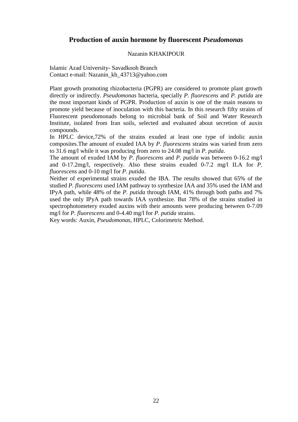## **Production of auxin hormone by fluorescent** *Pseudomonas*

#### Nazanin KHAKIPOUR

Islamic Azad University- Savadkooh Branch Contact e-mail: Nazanin\_kh\_43713@yahoo.com

Plant growth promoting rhizobacteria (PGPR) are considered to promote plant growth directly or indirectly*. Pseudomonas* bacteria, specially *P. fluorescens* and *P. putida* are the most important kinds of PGPR. Production of auxin is one of the main reasons to promote yield because of inoculation with this bacteria. In this research fifty strains of Fluorescent pseudomonads belong to microbial bank of Soil and Water Research Institute, isolated from Iran soils, selected and evaluated about secretion of auxin compounds.

In HPLC device,72% of the strains exuded at least one type of indolic auxin composites.The amount of exuded IAA by *P. fluorescens* strains was varied from zero to 31.6 mg/l while it was producing from zero to 24.08 mg/l in *P. putida*.

The amount of exuded IAM by *P. fluorescens* and *P. putida* was between 0-16.2 mg/l and 0-17.2mg/l, respectively. Also these strains exuded 0-7.2 mg/l ILA for *P. fluorescens* and 0-10 mg/l for *P. putida*.

Neither of experimental strains exuded the IBA. The results showed that 65% of the studied *P. fluorescens* used IAM pathway to synthesize IAA and 35% used the IAM and IPyA path, while 48% of the *P. putida* through IAM, 41% through both paths and 7% used the only IPyA path towards IAA synthesize. But 78% of the strains studied in spectrophotometery exuded auxins with their amounts were producing between 0-7.09 mg/l for *P. fluorescens* and 0-4.40 mg/l for *P. putida* strains.

Key words: Auxin, *Pseudomonas*, HPLC, Colorimetric Method.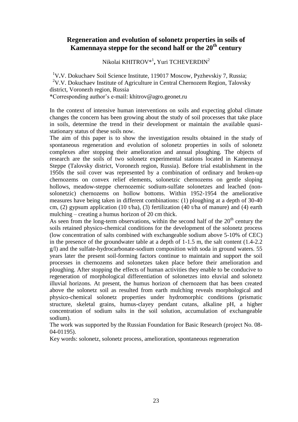## **Regeneration and evolution of solonetz properties in soils of Kamennaya steppe for the second half or the 20th century**

Nikolai KHITROV\*<sup>1</sup> **,** Yuri TCHEVERDIN<sup>2</sup>

<sup>1</sup>V.V. Dokuchaev Soil Science Institute, 119017 Moscow, Pyzhevskiy 7, Russia; <sup>2</sup>V.V. Dokuchaev Institute of Agriculture in Central Chernozem Region, Talovsky district, Voronezh region, Russia \*Corresponding author's e-mail: khitrov@agro.geonet.ru

In the context of intensive human interventions on soils and expecting global climate changes the concern has been growing about the study of soil processes that take place in soils, determine the trend in their development or maintain the available quasistationary status of these soils now.

The aim of this paper is to show the investigation results obtained in the study of spontaneous regeneration and evolution of solonetz properties in soils of solonetz complexes after stopping their amelioration and annual ploughing. The objects of research are the soils of two solonetz experimental stations located in Kamennaya Steppe (Talovsky district, Voronezh region, Russia). Before trial establishment in the 1950s the soil cover was represented by a combination of ordinary and broken-up chernozems on convex relief elements, solonetzic chernozems on gentle sloping hollows, meadow-steppe chernozemic sodium-sulfate solonetzes and leached (nonsolonetzic) chernozems on hollow bottoms. Within 1952-1954 the ameliorative measures have being taken in different combinations: (1) ploughing at a depth of 30-40 cm, (2) gypsum application (10 t/ha), (3) fertilization (40 t/ha of manure) and (4) earth mulching – creating a humus horizon of 20 cm thick.

As seen from the long-term observations, within the second half of the  $20<sup>th</sup>$  century the soils retained physico-chemical conditions for the development of the solonetz process (low concentration of salts combined with exchangeable sodium above 5-10% of CEC) in the presence of the groundwater table at a depth of 1-1.5 m, the salt content (1.4-2.2 g/l) and the sulfate-hydrocarbonate-sodium composition with soda in ground waters. 55 years later the present soil-forming factors continue to maintain and support the soil processes in chernozems and solonetzes taken place before their amelioration and ploughing. After stopping the effects of human activities they enable to be conducive to regeneration of morphological differentiation of solonetzes into eluvial and solonetz illuvial horizons. At present, the humus horizon of chernozem that has been created above the solonetz soil as resulted from earth mulching reveals morphological and physico-chemical solonetz properties under hydromorphic conditions (prismatic structure, skeletal grains, humus-clayey pendant cutans, alkaline pH, a higher concentration of sodium salts in the soil solution, accumulation of exchangeable sodium).

The work was supported by the Russian Foundation for Basic Research (project No. 08- 04-01195).

Key words: solonetz, solonetz process, amelioration, spontaneous regeneration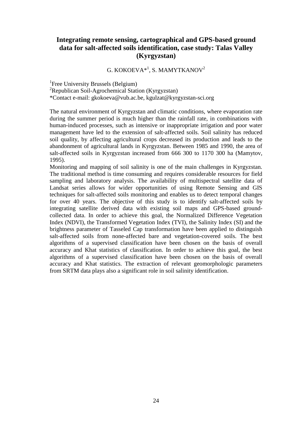## **Integrating remote sensing, cartographical and GPS-based ground data for salt-affected soils identification, case study: Talas Valley (Kyrgyzstan)**

G. KOKOEVA $\ast^1$ , S. MAMYTKANOV<sup>2</sup>

<sup>1</sup>Free University Brussels (Belgium)  ${}^{2}$ Republican Soil-Agrochemical Station (Kyrgyzstan) \*Contact e-mail: gkokoeva@vub.ac.be, kgulzat@kyrgyzstan-sci.org

The natural environment of Kyrgyzstan and climatic conditions, where evaporation rate during the summer period is much higher than the rainfall rate, in combinations with human-induced processes, such as intensive or inappropriate irrigation and poor water management have led to the extension of salt-affected soils. Soil salinity has reduced soil quality, by affecting agricultural crops decreased its production and leads to the abandonment of agricultural lands in Kyrgyzstan. Between 1985 and 1990, the area of salt-affected soils in Kyrgyzstan increased from 666 300 to 1170 300 ha (Mamytov, 1995).

Monitoring and mapping of soil salinity is one of the main challenges in Kyrgyzstan. The traditional method is time consuming and requires considerable resources for field sampling and laboratory analysis. The availability of multispectral satellite data of Landsat series allows for wider opportunities of using Remote Sensing and GIS techniques for salt-affected soils monitoring and enables us to detect temporal changes for over 40 years. The objective of this study is to identify salt-affected soils by integrating satellite derived data with existing soil maps and GPS-based groundcollected data. In order to achieve this goal, the Normalized Difference Vegetation Index (NDVI), the Transformed Vegetation Index (TVI), the Salinity Index (SI) and the brightness parameter of Tasseled Cap transformation have been applied to distinguish salt-affected soils from none-affected bare and vegetation-covered soils. The best algorithms of a supervised classification have been chosen on the basis of overall accuracy and Khat statistics of classification. In order to achieve this goal, the best algorithms of a supervised classification have been chosen on the basis of overall accuracy and Khat statistics. The extraction of relevant geomorphologic parameters from SRTM data plays also a significant role in soil salinity identification.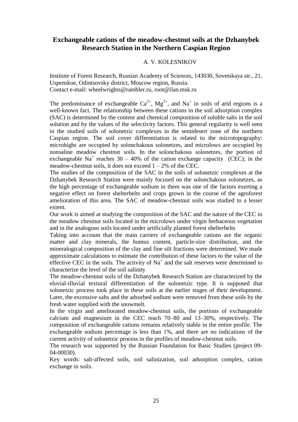#### **Exchangeable cations of the meadow-chestnut soils at the Dzhanybek Research Station in the Northern Caspian Region**

#### A. V. KOLESNIKOV

Institute of Forest Research, Russian Academy of Sciences, 143030, Sovetskaya str., 21, Uspenskoe, Odintsovsky district, Moscow region, Russia. Contact e-mail: wheelwrights@rambler.ru, root@ilan.msk.ru

The predominance of exchangeable  $Ca^{2+}$ ,  $Mg^{2+}$ , and  $Na^{+}$  in soils of arid regions is a well-known fact. The relationship between these cations in the soil adsorption complex (SAC) is determined by the content and chemical composition of soluble salts in the soil solution and by the values of the selectivity factors. This general regularity is well seen in the studied soils of solonetzic complexes in the semidesert zone of the northern Caspian region. The soil cover differentiation is related to the microtopography: microhighs are occupied by solonchakous solonetzes, and microlows are occupied by nonsaline meadow chestnut soils. In the solonchakous solonetzes, the portion of exchangeable Na<sup>+</sup> reaches 30 – 40% of the cation exchange capacity (CEC); in the meadow-chestnut soils, it does not exceed  $1 - 2\%$  of the CEC.

The studies of the composition of the SAC in the soils of solonetzic complexes at the Dzhanybek Research Station were mainly focused on the solonchakous solonetzes, as the high percentage of exchangeable sodium in them was one of the factors exerting a negative effect on forest shelterbelts and crops grown in the course of the agroforest amelioration of this area. The SAC of meadow-chestnut soils was studied to a lesser extent.

Our work is aimed at studying the composition of the SAC and the nature of the CEC in the meadow chestnut soils located in the microlows under virgin herbaceous vegetation and in the analogous soils located under artificially planted forest shelterbelts

Taking into account that the main carriers of exchangeable cations are the organic matter and clay minerals, the humus content, particle-size distribution, and the mineralogical composition of the clay and fine silt fractions were determined. We made approximate calculations to estimate the contribution of these factors to the value of the effective CEC in the soils. The activity of  $Na<sup>+</sup>$  and the salt reserves were determined to characterize the level of the soil salinity

The meadow-chestnut soils of the Dzhanybek Research Station are characterized by the eluvial-illuvial textural differentiation of the solonetzic type. It is supposed that solonetzic process took place in these soils at the earlier stages of their development. Later, the excessive salts and the adsorbed sodium were removed from these soils by the fresh water supplied with the snowmelt.

In the virgin and ameliorated meadow-chestnut soils, the portions of exchangeable calcium and magnesium in the CEC reach 70–80 and 13–30%, respectively. The composition of exchangeable cations remains relatively stable in the entire profile. The exchangeable sodium percentage is less than 1%, and there are no indications of the current activity of solonetzic process in the profiles of meadow-chestnut soils.

The research was supported by the Russian Foundation for Basic Studies (project 09- 04-00030).

Key words: salt-affected soils, soil salinization, soil adsorption complex, cation exchange in soils.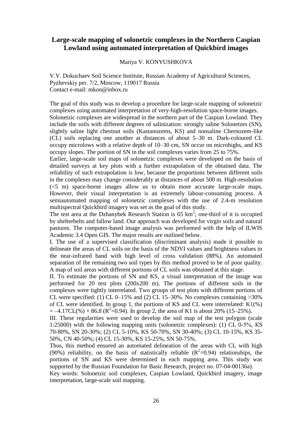## **Large-scale mapping of solonetzic complexes in the Northern Caspian Lowland using automated interpretation of Quickbird images**

#### Mariya V. KONYUSHKOVA

V.V. Dokuchaev Soil Science Institute, Russian Academy of Agricultural Sciences, Pyzhevskiy per. 7/2, Moscow, 119017 Russia Contact e-mail: mkon@inbox.ru

The goal of this study was to develop a procedure for large-scale mapping of solonetzic complexes using automated interpretation of very-high-resolution space-borne images.

Solonetzic complexes are widespread in the northern part of the Caspian Lowland. They include the soils with different degrees of salinization: strongly saline Solonetzes (SN), slightly saline light chestnut soils (Kastanozems, KS) and nonsaline Chernozem-like (CL) soils replacing one another at distances of about 5–30 m. Dark-coloured CL occupy microlows with a relative depth of 10–30 cm, SN occur on microhighs, and KS occupy slopes. The portion of SN in the soil complexes varies from 25 to 75%.

Earlier, large-scale soil maps of solonetzic complexes were developed on the basis of detailed surveys at key plots with a further extrapolation of the obtained data. The reliability of such extrapolation is low, because the proportions between different soils in the complexes may change considerably at distances of about 500 m. High-resolution (<5 m) space-borne images allow us to obtain more accurate large-scale maps. However, their visual interpretation is an extremely labour-consuming process. A semiautomated mapping of solonetzic complexes with the use of 2.4-m resolution multispectral Quickbird imagery was set as the goal of this study.

The test area at the Dzhanybek Research Station is  $65 \text{ km}^2$ ; one-third of it is occupied by shelterbelts and fallow land. Our approach was developed for virgin soils and natural pastures. The computer-based image analysis was performed with the help of ILWIS Academic 3.4 Open GIS. The major results are outlined below.

I. The use of a supervised classification (discriminant analysis) made it possible to delineate the areas of CL soils on the basis of the NDVI values and brightness values in the near-infrared band with high level of cross validation (88%). An automated separation of the remaining two soil types by this method proved to be of poor quality. A map of soil areas with different portions of CL soils was obtained at this stage.

II. To estimate the portions of SN and KS, a visual interpretation of the image was performed for 20 test plots (200x200 m). The portions of different soils in the complexes were tightly interrelated. Two groups of test plots with different portions of CL were specified: (1) CL 0–15% and (2) CL 15–30%. No complexes containing  $>30\%$ of CL were identified. In group 1, the portions of KS and CL were interrelated: K1(%)  $= -4.17CL$ (%) + 86.8 ( $R^2 = 0.94$ ). In group 2, the area of K1 is about 20% (15–25%).

III. These regularities were used to develop the soil map of the test polygon (scale 1:25000) with the following mapping units (solonetzic complexes): (1) CL 0-5%, КS 70-80%, SN 20-30%; (2) CL 5-10%, KS 50-70%, SN 30-40%; (3) CL 10-15%, KS 35- 50%, CN 40-50%; (4) CL 15-30%, KS 15-25%, SN 50-75%.

Thus, this method ensured an automated delineation of the areas with CL with high (90%) reliability, on the basis of statistically reliable  $(R^2=0.94)$  relationships, the portions of SN and KS were determined in each mapping area. This study was supported by the Russian Foundation for Basic Research, project no. 07-04-00136a).

Key words: Solonetzic soil complexes, Caspian Lowland, Quickbird imagery, image interpretation, large-scale soil mapping.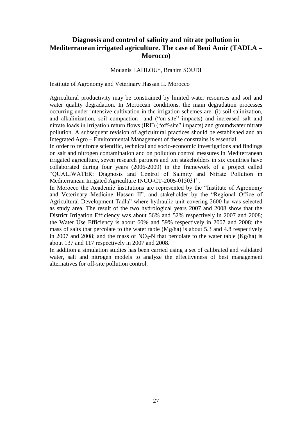## **Diagnosis and control of salinity and nitrate pollution in Mediterranean irrigated agriculture. The case of Beni Amir (TADLA – Morocco)**

#### Mouanis LAHLOU\*, Brahim SOUDI

Institute of Agronomy and Veterinary Hassan II. Morocco

Agricultural productivity may be constrained by limited water resources and soil and water quality degradation. In Moroccan conditions, the main degradation processes occurring under intensive cultivation in the irrigation schemes are: (i) soil salinization, and alkalinization, soil compaction and ("on-site" impacts) and increased salt and nitrate loads in irrigation return flows (IRF) ("off-site" impacts) and groundwater nitrate pollution. A subsequent revision of agricultural practices should be established and an Integrated Agro – Environmental Management of these constrains is essential.

In order to reinforce scientific, technical and socio-economic investigations and findings on salt and nitrogen contamination and on pollution control measures in Mediterranean irrigated agriculture, seven research partners and ten stakeholders in six countries have collaborated during four years (2006-2009) in the framework of a project called "QUALIWATER: Diagnosis and Control of Salinity and Nitrate Pollution in Mediterranean Irrigated Agriculture INCO-CT-2005-015031".

In Morocco the Academic institutions are represented by the "Institute of Agronomy and Veterinary Medicine Hassan II", and stakeholder by the "Regional Office of Agricultural Development-Tadla" where hydraulic unit covering 2600 ha was selected as study area. The result of the two hydrological years 2007 and 2008 show that the District Irrigation Efficiency was about 56% and 52% respectively in 2007 and 2008; the Water Use Efficiency is about 60% and 59% respectively in 2007 and 2008; the mass of salts that percolate to the water table (Mg/ha) is about 5.3 and 4.8 respectively in 2007 and 2008; and the mass of  $NO_3-N$  that percolate to the water table (Kg/ha) is about 137 and 117 respectively in 2007 and 2008.

In addition a simulation studies has been carried using a set of calibrated and validated water, salt and nitrogen models to analyze the effectiveness of best management alternatives for off-site pollution control.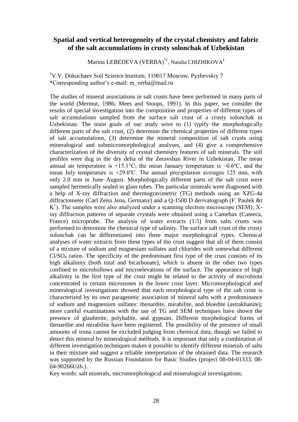## **Spatial and vertical heterogeneity of the crystal chemistry and fabric of the salt accumulations in crusty solonchak of Uzbekistan**

Marina LEBEDEVA (VERBA) $^{*1}$ , Natalia CHIZHIKOVA $^{1}$ 

<sup>1</sup>V.V. Dokuchaev Soil Science Institute, 119017 Moscow, Pyzhevskiy 7 \*Corresponding author's e-mail: m\_verba@mail.ru

The studies of mineral associations in salt crusts have been performed in many parts of the world (Mermut, 1986; Mees and Stoops, 1991). In this paper, we consider the results of special investigation into the composition and properties of different types of salt accumulations sampled from the surface salt crust of a crusty solonchak in Uzbekistan. The main goals of our study were to (1) typify the morphologically different parts of the salt crust, (2) determine the chemical properties of different types of salt accumulations, (3) determine the mineral composition of salt crusts using mineralogical and submicromorphological analyses, and (4) give a comprehensive characterization of the diversity of crystal chemistry features of salt minerals. The soil profiles were dug in the dry delta of the Zeravshan River in Uzbekistan. The mean annual air temperature is  $+15.1^{\circ}$ C; the mean January temperature is  $-0.6^{\circ}$ C, and the mean July temperature is +29.6ºC. The annual precipitation averages 125 mm, with only 2.0 mm in June–August. Morphologically different parts of the salt crust were sampled hermetically sealed in glass tubes. The particular minerals were diagnosed with a help of X-ray diffraction and thermogravimetric (TG) methods using an XZG-4a diffractometer (Carl Zeiss Jena, Germany) and a Q-1500 D derivatograph (F. Paulek &t  $K^{\circ}$ ). The samples were also analyzed under a scanning electron microscope (SEM); Xray diffraction patterns of separate crystals were obtained using a Camebax (Cameca, France) microprobe. The analysis of water extracts (1:5) from salts crusts was performed to determine the chemical type of salinity. The surface salt crust of the crusty solonchak can be differentiated into three major morphological types. Chemical analyses of water extracts from these types of the crust suggest that all of them consist of a mixture of sodium and magnesium sulfates and chlorides with somewhat different  $C<sub>1</sub>/SO<sub>4</sub>$  ratios. The specificity of the predominant first type of the crust consists of its high alkalinity (both total and bicarbonate), which is absent in the other two types confined to microhollows and microelevations of the surface. The appearance of high alkalinity in the first type of the crust might be related to the activity of microbiota concentrated in certain microzones in the lower crust layer. Micromorphological and mineralogical investigations showed that each morphological type of the salt crust is characterized by its own paragenetic association of mineral salts with a predominance of sodium and magnesium sulfates: thenardite, mirabilite, and bloedite (astrakhanite); more careful examinations with the use of TG and SEM techniques have shown the presence of glauberite, polyhalite, and gypsum. Different morphological forms of thenardite and mirabilite have been registered. The possibility of the presence of small amounts of trona cannot be excluded judging from chemical data, though we failed to detect this mineral by mineralogical methods. It is important that only a combination of different investigation techniques makes it possible to identify different minerals of salts in their mixture and suggest a reliable interpretation of the obtained data. The research was supported by the Russian Foundation for Basic Studies (project 08-04-01333; 08- 04-90266Uzb.).

Key words: salt minerals, micromorphological and mineralogical investigations.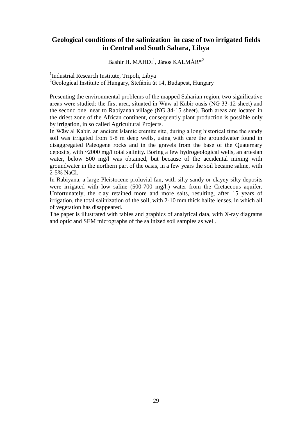## **Geological conditions of the salinization in case of two irrigated fields in Central and South Sahara, Libya**

Bashir H. MAHDI<sup>1</sup>, János KALMÁR<sup>\*2</sup>

<sup>1</sup>Industrial Research Institute, Tripoli, Libya

 $^{2}$ Geological Institute of Hungary, Stefánia út 14, Budapest, Hungary

Presenting the environmental problems of the mapped Saharian region, two significative areas were studied: the first area, situated in Wāw al Kabir oasis (NG 33-12 sheet) and the second one, near to Rabiyanah village (NG 34-15 sheet). Both areas are located in the driest zone of the African continent, consequently plant production is possible only by irrigation, in so called Agricultural Projects.

In Wāw al Kabir, an ancient Islamic eremite site, during a long historical time the sandy soil was irrigated from 5-8 m deep wells, using with care the groundwater found in disaggregated Paleogene rocks and in the gravels from the base of the Quaternary deposits, with ~2000 mg/l total salinity. Boring a few hydrogeological wells, an artesian water, below 500 mg/l was obtained, but because of the accidental mixing with groundwater in the northern part of the oasis, in a few years the soil became saline, with 2-5% NaCl.

In Rabiyana, a large Pleistocene proluvial fan, with silty-sandy or clayey-silty deposits were irrigated with low saline (500-700 mg/l.) water from the Cretaceous aquifer. Unfortunately, the clay retained more and more salts, resulting, after 15 years of irrigation, the total salinization of the soil, with 2-10 mm thick halite lenses, in which all of vegetation has disappeared.

The paper is illustrated with tables and graphics of analytical data, with X-ray diagrams and optic and SEM micrographs of the salinized soil samples as well.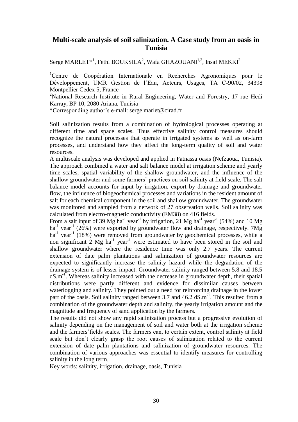## **Multi-scale analysis of soil salinization. A Case study from an oasis in Tunisia**

Serge MARLET $^*$ <sup>1</sup>, Fethi BOUKSILA<sup>2</sup>, Wafa GHAZOUANI<sup>1,2</sup>, Insaf MEKKI<sup>2</sup>

<sup>1</sup>Centre de Coopération Internationale en Recherches Agronomiques pour le Développement, UMR Gestion de l'Eau, Acteurs, Usages, TA C-90/02, 34398 Montpellier Cedex 5, France

<sup>2</sup>National Research Institute in Rural Engineering, Water and Forestry, 17 rue Hedi Karray, BP 10, 2080 Ariana, Tunisia

\*Corresponding author's e-mail: serge.marlet@cirad.fr

Soil salinization results from a combination of hydrological processes operating at different time and space scales. Thus effective salinity control measures should recognize the natural processes that operate in irrigated systems as well as on-farm processes, and understand how they affect the long-term quality of soil and water resources.

A multiscale analysis was developed and applied in Fatnassa oasis (Nefzaoua, Tunisia). The approach combined a water and salt balance model at irrigation scheme and yearly time scales, spatial variability of the shallow groundwater, and the influence of the shallow groundwater and some farmers' practices on soil salinity at field scale. The salt balance model accounts for input by irrigation, export by drainage and groundwater flow, the influence of biogeochemical processes and variations in the resident amount of salt for each chemical component in the soil and shallow groundwater. The groundwater was monitored and sampled from a network of 27 observation wells. Soil salinity was calculated from electro-magnetic conductivity (EM38) on 416 fields.

From a salt input of 39 Mg ha<sup>-1</sup> year<sup>-1</sup> by irrigation, 21 Mg ha<sup>-1</sup> year<sup>-1</sup> (54%) and 10 Mg ha<sup>-1</sup> year<sup>-1</sup> (26%) were exported by groundwater flow and drainage, respectively. 7Mg ha<sup>-1</sup> year<sup>-1</sup> (18%) were removed from groundwater by geochemical processes, while a non significant  $2 \text{ Mg}$  ha<sup>-1</sup> year<sup>-1</sup> were estimated to have been stored in the soil and shallow groundwater where the residence time was only 2.7 years. The current extension of date palm plantations and salinization of groundwater resources are expected to significantly increase the salinity hazard while the degradation of the drainage system is of lesser impact. Groundwater salinity ranged between 5.8 and 18.5 dS.m<sup>-1</sup>. Whereas salinity increased with the decrease in groundwater depth, their spatial distributions were partly different and evidence for dissimilar causes between waterlogging and salinity. They pointed out a need for reinforcing drainage in the lower part of the oasis. Soil salinity ranged between 3.7 and 46.2 dS.m<sup>-1</sup>. This resulted from a combination of the groundwater depth and salinity, the yearly irrigation amount and the magnitude and frequency of sand application by the farmers.

The results did not show any rapid salinization process but a progressive evolution of salinity depending on the management of soil and water both at the irrigation scheme and the farmers'fields scales. The farmers can, to certain extent, control salinity at field scale but don't clearly grasp the root causes of salinization related to the current extension of date palm plantations and salinization of groundwater resources. The combination of various approaches was essential to identify measures for controlling salinity in the long term.

Key words: salinity, irrigation, drainage, oasis, Tunisia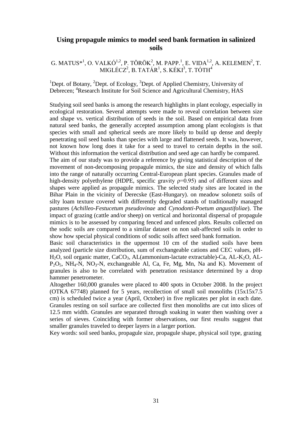## **Using propagule mimics to model seed bank formation in salinized soils**

#### G. MATUS $^{*1}$ , O. VALKÓ<sup>1,2</sup>, P. TÖRÖK<sup>2</sup>, M. PAPP.<sup>1</sup>, E. VIDA<sup>1,2</sup>, A. KELEMEN<sup>2</sup>, T. MIGLÉCZ $^2$ , B. TATÁR $^1$ , S. KÉKI $^3$ , T. TÓTH $^4$

#### <sup>1</sup>Dept. of Botany, <sup>2</sup>Dept. of Ecology, <sup>3</sup>Dept. of Applied Chemistry, University of Debrecen; <sup>4</sup>Research Institute for Soil Science and Agricultural Chemistry, HAS

Studying soil seed banks is among the research highlights in plant ecology, especially in ecological restoration. Several attempts were made to reveal correlation between size and shape vs. vertical distribution of seeds in the soil. Based on empirical data from natural seed banks, the generally accepted assumption among plant ecologists is that species with small and spherical seeds are more likely to build up dense and deeply penetrating soil seed banks than species with large and flattened seeds. It was, however, not known how long does it take for a seed to travel to certain depths in the soil. Without this information the vertical distribution and seed age can hardly be compared.

The aim of our study was to provide a reference by giving statistical description of the movement of non-decomposing propagule mimics, the size and density of which falls into the range of naturally occurring Central-European plant species. Granules made of high-density polyethylene (HDPE, specific gravity  $p=0.95$ ) and of different sizes and shapes were applied as propagule mimics. The selected study sites are located in the Bihar Plain in the vicinity of Derecske (East-Hungary). on meadow solonetz soils of silty loam texture covered with differently degraded stands of traditionally managed pastures (*Achilleo-Festucetum pseudovinae* and *Cynodonti-Poetum angustifoliae*). The impact of grazing (cattle and/or sheep) on vertical and horizontal dispersal of propagule mimics is to be assessed by comparing fenced and unfenced plots. Results collected on the sodic soils are compared to a similar dataset on non salt-affected soils in order to show how special physical conditions of sodic soils affect seed bank formation.

Basic soil characteristics in the uppermost 10 cm of the studied soils have been analyzed (particle size distribution, sum of exchangeable cations and CEC values, pH-H<sub>2</sub>O, soil organic matter, CaCO<sub>3</sub>, AL(ammonium-lactate extractable)-Ca, AL-K<sub>2</sub>O, AL- $P_2O_5$ , NH<sub>4</sub>-N, NO<sub>3</sub>-N, exchangeable Al, Ca, Fe, Mg, Mn, Na and K). Movement of granules is also to be correlated with penetration resistance determined by a drop hammer penetrometer.

Altogether 160,000 granules were placed to 400 spots in October 2008. In the project (OTKA 67748) planned for 5 years, recollection of small soil monoliths (15x15x7.5 cm) is scheduled twice a year (April, October) in five replicates per plot in each date. Granules resting on soil surface are collected first then monoliths are cut into slices of 12.5 mm width. Granules are separated through soaking in water then washing over a series of sieves. Coinciding with former observations, our first results suggest that smaller granules traveled to deeper layers in a larger portion.

Key words: soil seed banks, propagule size, propagule shape, physical soil type, grazing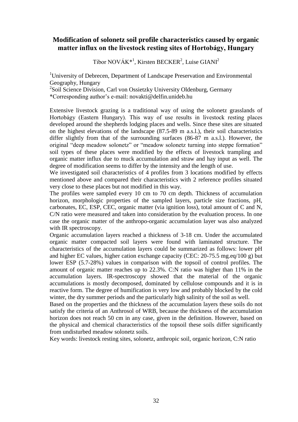## **Modification of solonetz soil profile characteristics caused by organic matter influx on the livestock resting sites of Hortobágy, Hungary**

Tibor NOVÁK<sup>\*1</sup>, Kirsten BECKER<sup>2</sup>, Luise GIANI<sup>2</sup>

<sup>1</sup>University of Debrecen, Department of Landscape Preservation and Environmental Geography, Hungary

<sup>2</sup>Soil Science Division, Carl von Ossietzky University Oldenburg, Germany

\*Corresponding author's e-mail: novakti@delfin.unideb.hu

Extensive livestock grazing is a traditional way of using the solonetz grasslands of Hortobágy (Eastern Hungary). This way of use results in livestock resting places developed around the shepherds lodging places and wells. Since these sites are situated on the highest elevations of the landscape (87.5-89 m a.s.l.), their soil characteristics differ slightly from that of the surrounding surfaces (86-87 m a.s.l.). However, the original "deep meadow solonetz" or "meadow solonetz turning into steppe formation" soil types of these places were modified by the effects of livestock trampling and organic matter influx due to muck accumulation and straw and hay input as well. The degree of modification seems to differ by the intensity and the length of use.

We investigated soil characteristics of 4 profiles from 3 locations modified by effects mentioned above and compared their characteristics with 2 reference profiles situated very close to these places but not modified in this way.

The profiles were sampled every 10 cm to 70 cm depth. Thickness of accumulation horizon, morphologic properties of the sampled layers, particle size fractions, pH, carbonates, EC, ESP, CEC, organic matter (via ignition loss), total amount of C and N, C/N ratio were measured and taken into consideration by the evaluation process. In one case the organic matter of the anthropo-organic accumulation layer was also analyzed with IR spectroscopy.

Organic accumulation layers reached a thickness of 3-18 cm. Under the accumulated organic matter compacted soil layers were found with laminated structure. The characteristics of the accumulation layers could be summarized as follows: lower pH and higher EC values, higher cation exchange capacity (CEC: 20-75.5 mg.eq/100 g) but lower ESP (5.7-28%) values in comparison with the topsoil of control profiles. The amount of organic matter reaches up to 22.3%. C:N ratio was higher than 11% in the accumulation layers. IR-spectroscopy showed that the material of the organic accumulations is mostly decomposed, dominated by cellulose compounds and it is in reactive form. The degree of humification is very low and probably blocked by the cold winter, the dry summer periods and the particularly high salinity of the soil as well.

Based on the properties and the thickness of the accumulation layers these soils do not satisfy the criteria of an Anthrosol of WRB, because the thickness of the accumulation horizon does not reach 50 cm in any case, given in the definition. However, based on the physical and chemical characteristics of the topsoil these soils differ significantly from undisturbed meadow solonetz soils.

Key words: livestock resting sites, solonetz, anthropic soil, organic horizon, C:N ratio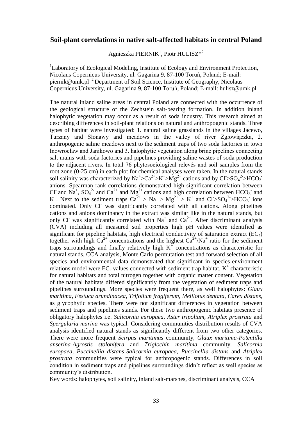#### **Soil-plant correlations in native salt-affected habitats in central Poland**

Agnieszka PIERNIK<sup>1</sup>, Piotr HULISZ\*<sup>2</sup>

<sup>1</sup>Laboratory of Ecological Modeling, Institute of Ecology and Environment Protection, Nicolaus Copernicus University, ul. Gagarina 9, 87-100 Toruń, Poland; E-mail: piernik@umk.pl  $^{2}$  Department of Soil Science, Institute of Geography, Nicolaus Copernicus University, ul. Gagarina 9, 87-100 Toruń, Poland; E-mail: hulisz@umk.pl

The natural inland saline areas in central Poland are connected with the occurrence of the geological structure of the Zechstein salt-bearing formation. In addition inland halophytic vegetation may occur as a result of soda industry. This research aimed at describing differences in soil-plant relations on natural and anthropogenic stands. Three types of habitat were investigated: 1. natural saline grasslands in the villages Jacewo, Turzany and Słonawy and meadows in the valley of river Zgłowiączka, 2. anthropogenic saline meadows next to the sediment traps of two soda factories in town Inowrocław and Janikowo and 3. halophytic vegetation along brine pipelines connecting salt mains with soda factories and pipelines providing saline wastes of soda production to the adjacent rivers. In total 76 phytosociological relevés and soil samples from the root zone (0-25 cm) in each plot for chemical analyses were taken. In the natural stands soil salinity was characterized by  $Na^+\text{>Ca}^{2+}\text{>K}^+\text{>Mg}^{2+}$  cations and by  $Cl\text{>SO}_4^2\text{>HCO}_3$ anions. Spearman rank correlations demonstrated high significant correlation between Cl<sup>-</sup> and Na<sup>+</sup>, SO<sub>4</sub><sup>2-</sup> and Ca<sup>2+</sup> and Mg<sup>2+</sup> cations and high correlation between HCO<sub>3</sub><sup>-</sup> and K<sup>+</sup>. Next to the sediment traps  $Ca^{2+} > Na^{+} > Mg^{2+} > K^{+}$  and  $Cl > SO<sub>4</sub><sup>2</sup> > HCO<sub>3</sub>$  ions dominated. Only Cl<sup>-</sup> was significantly correlated with all cations. Along pipelines cations and anions dominancy in the extract was similar like in the natural stands, but only Cl<sup>-</sup> was significantly correlated with Na<sup>+</sup> and Ca<sup>2+</sup>. After discriminant analysis (CVA) including all measured soil properties high pH values were identified as significant for pipeline habitats, high electrical conductivity of saturation extract  $(EC_e)$ together with high  $Ca^{2+}$  concentrations and the highest  $Ca^{2+}/Na^{+}$  ratio for the sediment traps surroundings and finally relatively high  $K^+$  concentrations as characteristic for natural stands. CCA analysis, Monte Carlo permutation test and forward selection of all species and environmental data demonstrated that significant in species-environment relations model were  $EC_e$  values connected with sediment trap habitat,  $K^+$  characteristic for natural habitats and total nitrogen together with organic matter content. Vegetation of the natural habitats differed significantly from the vegetation of sediment traps and pipelines surroundings. More species were frequent there, as well halophytes: *Glaux maritima*, *Festuca arundinacea*, *Trifolium fragiferum*, *Melilotus dentata*, *Carex distans*, as glycophytic species. There were not significant differences in vegetation between sediment traps and pipelines stands. For these two anthropogenic habitats presence of obligatory halophytes i.e. *Salicornia europaea, Aster tripolium, Atriplex prostrata* and *Spergularia marina* was typical. Considering communities distribution results of CVA analysis identified natural stands as significantly different from two other categories. There were more frequent *Scirpus maritimus* community, *Glaux maritima-Potentilla anserina-Agrostis stolonifera* and *Triglochin maritima* community. *Salicornia europaea*, *Puccinellia distans-Salicornia europaea*, *Puccinellia distans* and *Atriplex prostrata* communities were typical for anthropogenic stands. Differences in soil condition in sediment traps and pipelines surroundings didn't reflect as well species as community's distribution.

Key words: halophytes, soil salinity, inland salt-marshes, discriminant analysis, CCA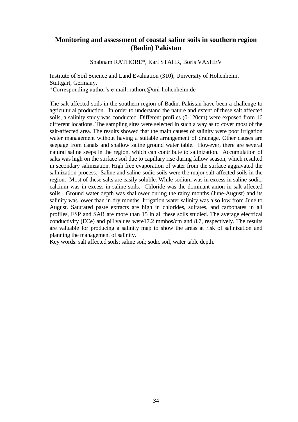#### **Monitoring and assessment of coastal saline soils in southern region (Badin) Pakistan**

Shabnam RATHORE\*, Karl STAHR, Boris VASHEV

Institute of Soil Science and Land Evaluation (310), University of Hohenheim, Stuttgart, Germany. \*Corresponding author's e-mail: rathore@uni-hohenheim.de

The salt affected soils in the southern region of Badin, Pakistan have been a challenge to agricultural production. In order to understand the nature and extent of these salt affected soils, a salinity study was conducted. Different profiles (0-120cm) were exposed from 16 different locations. The sampling sites were selected in such a way as to cover most of the salt-affected area. The results showed that the main causes of salinity were poor irrigation water management without having a suitable arrangement of drainage. Other causes are seepage from canals and shallow saline ground water table. However, there are several natural saline seeps in the region, which can contribute to salinization. Accumulation of salts was high on the surface soil due to capillary rise during fallow season, which resulted in secondary salinization. High free evaporation of water from the surface aggravated the salinization process. Saline and saline-sodic soils were the major salt-affected soils in the region. Most of these salts are easily soluble. While sodium was in excess in saline-sodic, calcium was in excess in saline soils. Chloride was the dominant anion in salt-affected soils. Ground water depth was shallower during the rainy months (June-August) and its salinity was lower than in dry months. Irrigation water salinity was also low from June to August. Saturated paste extracts are high in chlorides, sulfates, and carbonates in all profiles, ESP and SAR are more than 15 in all these soils studied. The average electrical conductivity (ECe) and pH values were17.2 mmhos/cm and 8.7, respectively. The results are valuable for producing a salinity map to show the areas at risk of salinization and planning the management of salinity.

Key words: salt affected soils; saline soil; sodic soil, water table depth.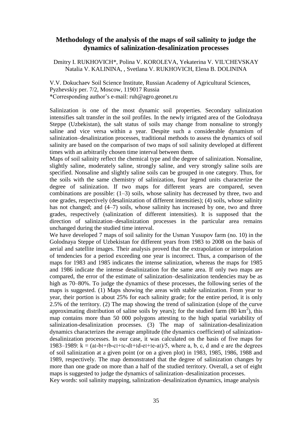#### **Methodology of the analysis of the maps of soil salinity to judge the dynamics of salinization-desalinization processes**

Dmitry I. RUKHOVICH\*, Polina V. KOROLEVA, Yekaterina V. VIL'CHEVSKAY Natalia V. KALININA, , Svetlana V. RUKHOVICH, Elena B. DOLININA

V.V. Dokuchaev Soil Science Institute, Russian Academy of Agricultural Sciences, Pyzhevskiy per. 7/2, Moscow, 119017 Russia \*Corresponding author's e-mail: ruh@agro.geonet.ru

Salinization is one of the most dynamic soil properties. Secondary salinization intensifies salt transfer in the soil profiles. In the newly irrigated area of the Golodnaya Steppe (Uzbekistan), the salt status of soils may change from nonsaline to strongly saline and vice versa within a year. Despite such a considerable dynamism of salinization–desalinization processes, traditional methods to assess the dynamics of soil salinity are based on the comparison of two maps of soil salinity developed at different times with an arbitrarily chosen time interval between them.

Maps of soil salinity reflect the chemical type and the degree of salinization. Nonsaline, slightly saline, moderately saline, strongly saline, and very strongly saline soils are specified. Nonsaline and slightly saline soils can be grouped in one category. Thus, for the soils with the same chemistry of salinization, four legend units characterize the degree of salinization. If two maps for different years are compared, seven combinations are possible: (1–3) soils, whose salinity has decreased by three, two and one grades, respectively (desalinization of different intensities); (4) soils, whose salinity has not changed; and  $(4-7)$  soils, whose salinity has increased by one, two and three grades, respectively (salinization of different intensities). It is supposed that the direction of salinization–desalinization processes in the particular area remains unchanged during the studied time interval.

We have developed 7 maps of soil salinity for the Usman Yusupov farm (no. 10) in the Golodnaya Steppe of Uzbekistan for different years from 1983 to 2008 on the basis of aerial and satellite images. Their analysis proved that the extrapolation or interpolation of tendencies for a period exceeding one year is incorrect. Thus, a comparison of the maps for 1983 and 1985 indicates the intense salinization, whereas the maps for 1985 and 1986 indicate the intense desalinization for the same area. If only two maps are compared, the error of the estimate of salinization–desalinization tendencies may be as high as 70–80%. To judge the dynamics of these processes, the following series of the maps is suggested. (1) Maps showing the areas with stable salinization. From year to year, their portion is about 25% for each salinity grade; for the entire period, it is only 2.5% of the territory. (2) The map showing the trend of salinization (slope of the curve approximating distribution of saline soils by years); for the studied farm  $(80 \text{ km}^2)$ , this map contains more than 50 000 polygons attesting to the high spatial variability of salinization-desalinization processes. (3) The map of salinization-desalinization dynamics characterizes the average amplitude (the dynamics coefficient) of salinizationdesalinization processes. In our case, it was calculated on the basis of five maps for 1983–1989:  $k = (aI-bI+Ib-cI+Ic-dI+Id-eI+Ie-aI)/5$ , where a, b, c, d and e are the degrees of soil salinization at a given point (or on a given plot) in 1983, 1985, 1986, 1988 and 1989, respectively. The map demonstrated that the degree of salinization changes by more than one grade on more than a half of the studied territory. Overall, a set of eight maps is suggested to judge the dynamics of salinization–desalinization processes.

Key words: soil salinity mapping, salinization–desalinization dynamics, image analysis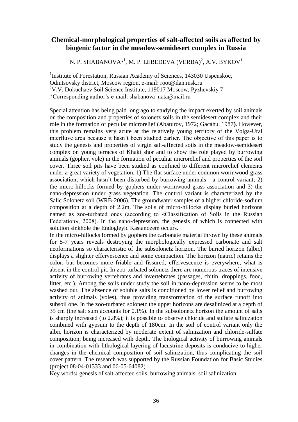## **Chemical-morphological properties of salt-affected soils as affected by biogenic factor in the meadow-semidesert complex in Russia**

N. P. SHABANOVA $^{\ast1}$ , M. P. LEBEDEVA (VERBA) $^2$ , A.V. BYKOV $^1$ 

<sup>1</sup>Institute of Forestation, Russian Academy of Sciences, 143030 Uspenskoe, Odintsovsky district, Moscow region, e-mail: root@ilan.msk.ru <sup>2</sup>V.V. Dokuchaev Soil Science Institute, 119017 Moscow, Pyzhevskiy 7 \*Corresponding author's e-mail: shabanova\_nata@mail.ru

Special attention has being paid long ago to studying the impact exerted by soil animals on the composition and properties of solonetz soils in the semidesert complex and their role in the formation of peculiar microrelief (Abaturov, 1972; Gacahu, 1987**)**. However, this problem remains very acute at the relatively young territory of the Volga-Ural interfluve area because it hasn't been studied earlier. The objective of this paper is to study the genesis and properties of virgin salt-affected soils in the meadow-semidesert complex on young terraces of Khaki shor and to show the role played by burrowing animals (gopher, vole) in the formation of peculiar microrelief and properties of the soil cover. Three soil pits have been studied as confined to different microrelief elements under a great variety of vegetation. 1) The flat surface under common wormwood-grass association, which hasn't been disturbed by burrowing animals - a control variant; 2) the micro-hillocks formed by gophers under wormwood-grass association and 3) the nano-depression under grass vegetation. The control variant is characterized by the Salic Solonetz soil (WRB-2006). The groundwater samples of a higher chloride-sodium composition at a depth of 2.2m. The soils of micro-hillocks display buried horizons named as zoo-turbated ones (according to «Classification of Soils in the Russian Federation», 2008). In the nano-depression, the genesis of which is connected with solution sinkhole the Endogleyic Kastanozem occurs.

In the micro-hillocks formed by gophers the carbonate material thrown by these animals for 5-7 years reveals destroying the morphologically expressed carbonate and salt neoformations so characteristic of the subsolonetz horizon. The buried horizon (albic) displays a slighter effervescence and some compaction. The horizon (natric) retains the color, but becomes more friable and fissured, effervescence is everywhere, what is absent in the control pit. In zoo-turbated solonetz there are numerous traces of intensive activity of burrowing vertebrates and invertebrates (passages, chitin, droppings, food, litter, etc.). Among the soils under study the soil in nano-depression seems to be most washed out. The absence of soluble salts is conditioned by lower relief and burrowing activity of animals (voles), thus providing transformation of the surface runoff into subsoil one. In the zoo-turbated solonetz the upper horizons are desalinized at a depth of 35 cm (the salt sum accounts for 0.1%). In the subsolonetz horizon the amount of salts is sharply increased (to 2.8%); it is possible to observe chloride and sulfate salinization combined with gypsum to the depth of 180cm. In the soil of control variant only the albic horizon is characterized by moderate extent of salinization and chloride-sulfate composition, being increased with depth. The biological activity of burrowing animals in combination with lithological layering of lacustrine deposits is conducive to higher changes in the chemical composition of soil salinization, thus complicating the soil cover pattern. The research was supported by the Russian Foundation for Basic Studies (project 08-04-01333 and 06-05-64082).

Key words**:** genesis of salt-affected soils, burrowing animals, soil salinization.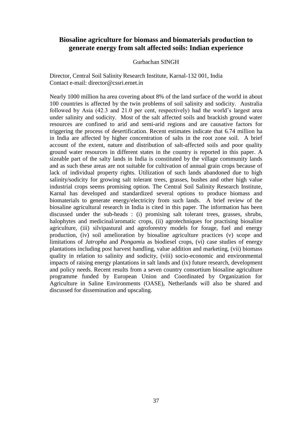## **Biosaline agriculture for biomass and biomaterials production to generate energy from salt affected soils: Indian experience**

#### Gurbachan SINGH

Director, Central Soil Salinity Research Institute, Karnal-132 001, India Contact e-mail: director@cssri.ernet.in

Nearly 1000 million ha area covering about 8% of the land surface of the world in about 100 countries is affected by the twin problems of soil salinity and sodicity. Australia followed by Asia (42.3 and 21.0 per cent, respectively) had the world's largest area under salinity and sodicity. Most of the salt affected soils and brackish ground water resources are confined to arid and semi-arid regions and are causative factors for triggering the process of desertification. Recent estimates indicate that 6.74 million ha in India are affected by higher concentration of salts in the root zone soil. A brief account of the extent, nature and distribution of salt-affected soils and poor quality ground water resources in different states in the country is reported in this paper. A sizeable part of the salty lands in India is constituted by the village community lands and as such these areas are not suitable for cultivation of annual grain crops because of lack of individual property rights. Utilization of such lands abandoned due to high salinity/sodicity for growing salt tolerant trees, grasses, bushes and other high value industrial crops seems promising option. The Central Soil Salinity Research Institute, Karnal has developed and standardized several options to produce biomass and biomaterials to generate energy/electricity from such lands. A brief review of the biosaline agricultural research in India is cited in this paper. The information has been discussed under the sub-heads : (i) promising salt tolerant trees, grasses, shrubs, halophytes and medicinal/aromatic crops, (ii) agrotechniques for practising biosaline agriculture, (iii) silvipastural and agroforestry models for forage, fuel and energy production, (iv) soil amelioration by biosaline agriculture practices (v) scope and limitations of *Jatropha* and *Pongami*a as biodiesel crops, (vi) case studies of energy plantations including post harvest handling, value addition and marketing, (vii) biomass quality in relation to salinity and sodicity, (viii) socio-economic and environmental impacts of raising energy plantations in salt lands and (ix) future research, development and policy needs. Recent results from a seven country consortium biosaline agriculture programme funded by European Union and Coordinated by Organization for Agriculture in Saline Environments (OASE), Netherlands will also be shared and discussed for dissemination and upscaling.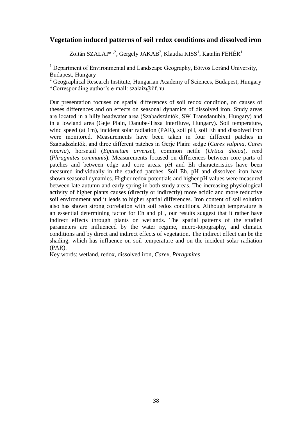## **Vegetation induced patterns of soil redox conditions and dissolved iron**

Zoltán SZALAI $^{*1,2}$ , Gergely JAKAB<sup>2</sup>, Klaudia KISS<sup>1</sup>, Katalin FEHÉR<sup>1</sup>

<sup>1</sup> Department of Environmental and Landscape Geography, Eötvös Loránd University, Budapest, Hungary

 $2$  Geographical Research Institute, Hungarian Academy of Sciences, Budapest, Hungary \*Corresponding author's e-mail: szalaiz@iif.hu

Our presentation focuses on spatial differences of soil redox condition, on causes of theses differences and on effects on seasonal dynamics of dissolved iron. Study areas are located in a hilly headwater area (Szabadszántók, SW Transdanubia, Hungary) and in a lowland area (Geje Plain, Danube-Tisza Interfluve, Hungary). Soil temperature, wind speed (at 1m), incident solar radiation (PAR), soil pH, soil Eh and dissolved iron were monitored. Measurements have been taken in four different patches in Szabadszántók, and three different patches in Gerje Plain: sedge (*Carex vulpina, Carex riparia*), horsetail (*Equisetum arvense*), common nettle (*Urtica dioica*), reed (*Phragmites communis*). Measurements focused on differences between core parts of patches and between edge and core areas. pH and Eh characteristics have been measured individually in the studied patches. Soil Eh, pH and dissolved iron have shown seasonal dynamics. Higher redox potentials and higher pH values were measured between late autumn and early spring in both study areas. The increasing physiological activity of higher plants causes (directly or indirectly) more acidic and more reductive soil environment and it leads to higher spatial differences. Iron content of soil solution also has shown strong correlation with soil redox conditions. Although temperature is an essential determining factor for Eh and pH, our results suggest that it rather have indirect effects through plants on wetlands. The spatial patterns of the studied parameters are influenced by the water regime, micro-topography, and climatic conditions and by direct and indirect effects of vegetation. The indirect effect can be the shading, which has influence on soil temperature and on the incident solar radiation (PAR).

Key words: wetland, redox, dissolved iron, *Carex, Phragmites*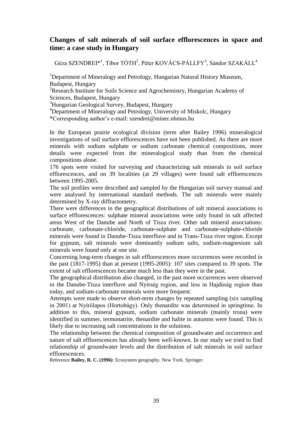## **Changes of salt minerals of soil surface efflorescences in space and time: a case study in Hungary**

Géza SZENDREI\*<sup>1</sup>, Tibor TÓTH<sup>2</sup>, Péter KOVÁCS-PÁLLFY<sup>3</sup>, Sándor SZAKÁLL<sup>4</sup>

<sup>1</sup>Department of Mineralogy and Petrology, Hungarian Natural History Museum, Budapest, Hungary

<sup>2</sup>Research Institute for Soils Science and Agrochemistry, Hungarian Academy of Sciences, Budapest, Hungary

<sup>3</sup>Hungarian Geological Survey, Budapest, Hungary

<sup>4</sup>Department of Mineralogy and Petrology, University of Miskolc, Hungary

\*Corresponding author's e-mail: szendrei@miner.nhmus.hu

In the European prairie ecological division (term after Bailey 1996) mineralogical investigations of soil surface efflorescences have not been published. As there are more minerals with sodium sulphate or sodium carbonate chemical compositions, more details were expected from the mineralogical study than from the chemical compositions alone.

176 spots were visited for surveying and characterizing salt minerals in soil surface efflorescences, and on 39 localities (at 29 villages) were found salt efflorescences between 1995-2005.

The soil profiles were described and sampled by the Hungarian soil survey manual and were analysed by international standard methods. The salt minerals were mainly determined by X-ray diffractometry.

There were differences in the geographical distributions of salt mineral associations in surface efflorescences: sulphate mineral associations were only found in salt affected areas West of the Danube and North of Tisza river. Other salt mineral associations: carbonate, carbonate-chloride, carbonate-sulphate and carbonate-sulphate-chloride minerals were found in Danube-Tisza interfluve and in Trans-Tisza river region. Except for gypsum, salt minerals were dominantly sodium salts, sodium-magnesium salt minerals were found only at one site.

Concerning long-term changes in salt efflorescences more occurrences were recorded in the past (1817-1995) than at present (1995-2005): 107 sites compared to 39 spots. The extent of salt efflorescences became much less than they were in the past.

The geographical distribution also changed, in the past more occurrences were observed in the Danube-Tisza interfluve and Nyírség region, and less in Hajdúság region than today, and sodium-carbonate minerals were more frequent.

Attempts were made to observe short-term changes by repeated sampling (six sampling in 2001) at Nyírőlapos (Hortobágy). Only thenardite was determined in springtime. In addition to this, mineral gypsum, sodium carbonate minerals (mainly trona) were identified in summer, termonatrite, thenardite and halite in autumns were found. This is likely due to increasing salt concentrations in the solutions.

The relationship between the chemical composition of groundwater and occurrence and nature of salt efflorescences has already been well-known. In our study we tried to find relationship of groundwater levels and the distribution of salt minerals in soil surface efflorescences.

Reference **Bailey, R. C. (1996)**: Ecosystem geography. New York. Springer.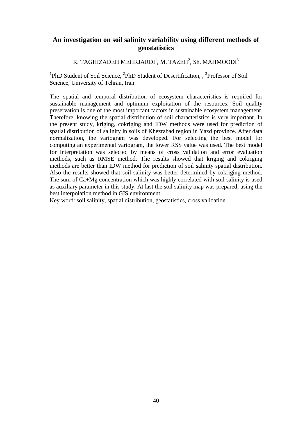## **An investigation on soil salinity variability using different methods of geostatistics**

## R. TAGHIZADEH MEHRJARDI $^{\rm l}$ , M. TAZEH $^{\rm 2}$ , Sh. MAHMOODI $^{\rm 3}$

<sup>1</sup>PhD Student of Soil Science, <sup>2</sup>PhD Student of Desertification, <sup>3</sup>Professor of Soil Science, University of Tehran, Iran

The spatial and temporal distribution of ecosystem characteristics is required for sustainable management and optimum exploitation of the resources. Soil quality preservation is one of the most important factors in sustainable ecosystem management. Therefore, knowing the spatial distribution of soil characteristics is very important. In the present study, kriging, cokriging and IDW methods were used for prediction of spatial distribution of salinity in soils of Khezrabad region in Yazd province. After data normalization, the variogram was developed. For selecting the best model for computing an experimental variogram, the lower RSS value was used. The best model for interpretation was selected by means of cross validation and error evaluation methods, such as RMSE method. The results showed that kriging and cokriging methods are better than IDW method for prediction of soil salinity spatial distribution. Also the results showed that soil salinity was better determined by cokriging method. The sum of Ca+Mg concentration which was highly correlated with soil salinity is used as auxiliary parameter in this study. At last the soil salinity map was prepared, using the best interpolation method in GIS environment.

Key word: soil salinity, spatial distribution, geostatistics, cross validation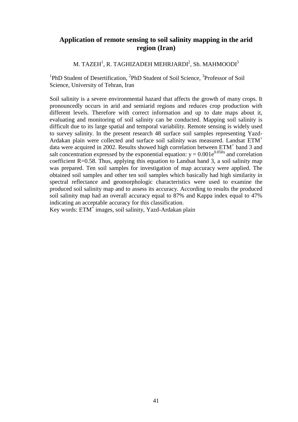## **Application of remote sensing to soil salinity mapping in the arid region (Iran)**

M. TAZEH $^1$ , R. TAGHIZADEH MEHRJARDI $^2$ , Sh. MAHMOODI $^3$ 

<sup>1</sup>PhD Student of Desertification, <sup>2</sup>PhD Student of Soil Science, <sup>3</sup>Professor of Soil Science, University of Tehran, Iran

Soil salinity is a severe environmental hazard that affects the growth of many crops. It pronouncedly occurs in arid and semiarid regions and reduces crop production with different levels. Therefore with correct information and up to date maps about it, evaluating and monitoring of soil salinity can be conducted. Mapping soil salinity is difficult due to its large spatial and temporal variability. Remote sensing is widely used to survey salinity. In the present research 48 surface soil samples representing Yazd-Ardakan plain were collected and surface soil salinity was measured. Landsat ETM<sup>+</sup> data were acquired in 2002. Results showed high correlation between ETM<sup>+</sup> band 3 and salt concentration expressed by the exponential equation:  $y = 0.001e^{0.058x}$  and correlation coefficient R=0.58. Thus, applying this equation to Landsat band 3, a soil salinity map was prepared. Ten soil samples for investigation of map accuracy were applied. The obtained soil samples and other ten soil samples which basically had high similarity in spectral reflectance and geomorphologic characteristics were used to examine the produced soil salinity map and to assess its accuracy. According to results the produced soil salinity map had an overall accuracy equal to 87% and Kappa index equal to 47% indicating an acceptable accuracy for this classification.

Key words: ETM<sup>+</sup> images, soil salinity, Yazd-Ardakan plain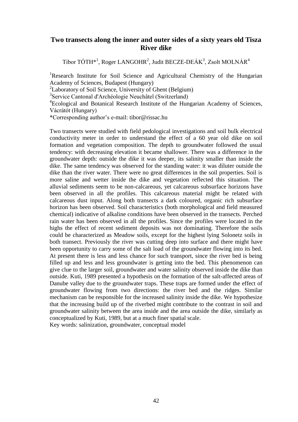#### **Two transects along the inner and outer sides of a sixty years old Tisza River dike**

Tibor TÓTH<sup>\*1</sup>, Roger LANGOHR<sup>2</sup>, Judit BECZE-DEÁK<sup>3</sup>, Zsolt MOLNÁR<sup>4</sup>

<sup>1</sup>Research Institute for Soil Science and Agricultural Chemistry of the Hungarian Academy of Sciences, Budapest (Hungary)

<sup>2</sup>Laboratory of Soil Science, University of Ghent (Belgium)

3 Service Cantonal d'Archéologie Neuchâtel (Switzerland)

4 Ecological and Botanical Research Institute of the Hungarian Academy of Sciences, Vácrátót (Hungary)

\*Corresponding author's e-mail: tibor@rissac.hu

Two transects were studied with field pedological investigations and soil bulk electrical conductivity meter in order to understand the effect of a 60 year old dike on soil formation and vegetation composition. The depth to groundwater followed the usual tendency: with decreasing elevation it became shallower. There was a difference in the groundwater depth: outside the dike it was deeper, its salinity smaller than inside the dike. The same tendency was observed for the standing water: it was diluter outside the dike than the river water. There were no great differences in the soil properties. Soil is more saline and wetter inside the dike and vegetation reflected this situation. The alluvial sediments seem to be non-calcareous, yet calcareous subsurface horizons have been observed in all the profiles. This calcareous material might be related with calcareous dust input. Along both transects a dark coloured, organic rich subsurface horizon has been observed. Soil characteristics (both morphological and field measured chemical) indicative of alkaline conditions have been observed in the transects. Perched rain water has been observed in all the profiles. Since the profiles were located in the highs the effect of recent sediment deposits was not dominating. Therefore the soils could be characterized as Meadow soils, except for the highest lying Solonetz soils in both transect. Previously the river was cutting deep into surface and there might have been opportunity to carry some of the salt load of the groundwater flowing into its bed. At present there is less and less chance for such transport, since the river bed is being filled up and less and less groundwater is getting into the bed. This phenomenon can give clue to the larger soil, groundwater and water salinity observed inside the dike than outside. Kuti, 1989 presented a hypothesis on the formation of the salt-affected areas of Danube valley due to the groundwater traps. These traps are formed under the effect of groundwater flowing from two directions: the river bed and the ridges. Similar mechanism can be responsible for the increased salinity inside the dike. We hypothesize that the increasing build up of the riverbed might contribute to the contrast in soil and groundwater salinity between the area inside and the area outside the dike, similarly as conceptualized by Kuti, 1989, but at a much finer spatial scale. Key words: salinization, groundwater, conceptual model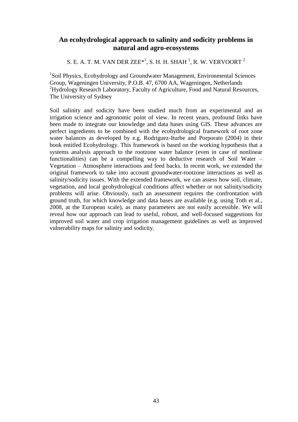## **An ecohydrological approach to salinity and sodicity problems in natural and agro-ecosystems**

S. E. A. T. M. VAN DER ZEE $^{\ast1}$ , S. H. H. SHAH  $^{1}$ , R. W. VERVOORT  $^{2}$ 

<sup>1</sup>Soil Physics, Ecohydrology and Groundwater Management, Environmental Sciences Group, Wageningen University, P.O.B. 47, 6700 AA, Wageningen, Netherlands <sup>2</sup>Hydrology Research Laboratory, Faculty of Agriculture, Food and Natural Resources, The University of Sydney

Soil salinity and sodicity have been studied much from an experimental and an irrigation science and agronomic point of view. In recent years, profound links have been made to integrate our knowledge and data bases using GIS. These advances are perfect ingredients to be combined with the ecohydrological framework of root zone water balances as developed by e.g. Rodriguez-Iturbe and Porporato (2004) in their book entitled Ecohydrology. This framework is based on the working hypothesis that a systems analysis approach to the rootzone water balance (even in case of nonlinear functionalities) can be a compelling way to deductive research of Soil Water – Vegetation – Atmosphere interactions and feed backs. In recent work, we extended the original framework to take into account groundwater-rootzone interactions as well as salinity/sodicity issues. With the extended framework, we can assess how soil, climate, vegetation, and local geohydrological conditions affect whether or not salinity/sodicity problems will arise. Obviously, such an assessment requires the confrontation with ground truth, for which knowledge and data bases are available (e.g. using Toth et al., 2008, at the European scale), as many parameters are not easily accessible. We will reveal how our approach can lead to useful, robust, and well-focused suggestions for improved soil water and crop irrigation management guidelines as well as improved vulnerability maps for salinity and sodicity.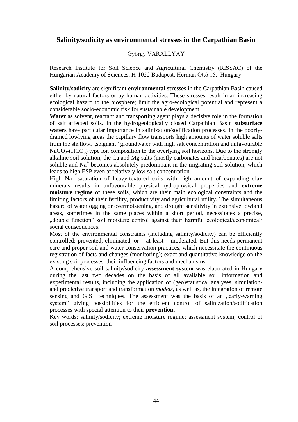## **Salinity/sodicity as environmental stresses in the Carpathian Basin**

#### György VÁRALLYAY

Research Institute for Soil Science and Agricultural Chemistry (RISSAC) of the Hungarian Academy of Sciences, H-1022 Budapest, Herman Ottó 15. Hungary

**Salinity/sodicity** are significant **environmental stresses** in the Carpathian Basin caused either by natural factors or by human activities. These stresses result in an increasing ecological hazard to the biosphere; limit the agro-ecological potential and represent a considerable socio-economic risk for sustainable development.

**Water** as solvent, reactant and transporting agent plays a decisive role in the formation of salt affected soils. In the hydrogeologically closed Carpathian Basin **subsurface waters** have particular importance in salinization/sodification processes. In the poorlydrained lowlying areas the capillary flow transports high amounts of water soluble salts from the shallow, "stagnant" groundwater with high salt concentration and unfavourable  $NaCO<sub>3</sub>(HCO<sub>3</sub>)$  type ion composition to the overlying soil horizons. Due to the strongly alkaline soil solution, the Ca and Mg salts (mostly carbonates and bicarbonates) are not soluble and Na<sup>+</sup> becomes absolutely predominant in the migrating soil solution, which leads to high ESP even at relatively low salt concentration.

High Na<sup>+</sup> saturation of heavy-textured soils with high amount of expanding clay minerals results in unfavourable physical–hydrophysical properties and **extreme moisture regime** of these soils, which are their main ecological constraints and the limiting factors of their fertility, productivity and agricultural utility. The simultaneous hazard of waterlogging or overmoistening, and drought sensitivity in extensive lowland areas, sometimes in the same places within a short period, necessitates a precise, "double function" soil moisture control against their harmful ecological/economical/ social consequences.

Most of the environmental constraints (including salinity/sodicity) can be efficiently controlled: prevented, eliminated, or  $-$  at least  $-$  moderated. But this needs permanent care and proper soil and water conservation practices, which necessitate the continuous registration of facts and changes (monitoring); exact and quantitative knowledge on the existing soil processes, their influencing factors and mechanisms.

A comprehensive soil salinity/sodicity **assessment system** was elaborated in Hungary during the last two decades on the basis of all available soil information and experimental results, including the application of (geo)statistical analyses, simulationand predictive transport and transformation *models,* as well as, the integration of remote sensing and GIS techniques. The assessment was the basis of an "early-warning system" giving possibilities for the efficient control of salinization/sodification processes with special attention to their **prevention.** 

Key words: salinity/sodicity; extreme moisture regime; assessment system; control of soil processes; prevention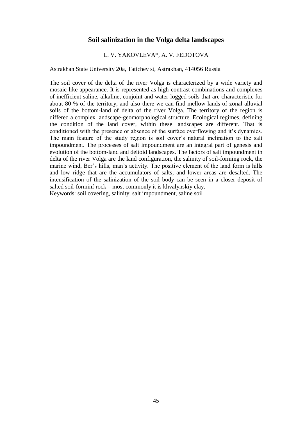#### **Soil salinization in the Volga delta landscapes**

#### L. V. YAKOVLEVA\*, A. V. FEDOTOVA

Astrakhan State University 20a, Tatichev st, Astrakhan, 414056 Russia

The soil cover of the delta of the river Volga is characterized by a wide variety and mosaic-like appearance. It is represented as high-contrast combinations and complexes of inefficient saline, alkaline, conjoint and water-logged soils that are characteristic for about 80 % of the territory, and also there we can find mellow lands of zonal alluvial soils of the bottom-land of delta of the river Volga. The territory of the region is differed a complex landscape-geomorphological structure. Ecological regimes, defining the condition of the land cover, within these landscapes are different. That is conditioned with the presence or absence of the surface overflowing and it's dynamics. The main feature of the study region is soil cover's natural inclination to the salt impoundment. The processes of salt impoundment are an integral part of genesis and evolution of the bottom-land and deltoid landscapes. The factors of salt impoundment in delta of the river Volga are the land configuration, the salinity of soil-forming rock, the marine wind, Ber's hills, man's activity. The positive element of the land form is hills and low ridge that are the accumulators of salts, and lower areas are desalted. The intensification of the salinization of the soil body can be seen in a closer deposit of salted soil-forminf rock – most commonly it is khvalynskiy clay. Keywords: soil covering, salinity, salt impoundment, saline soil

45